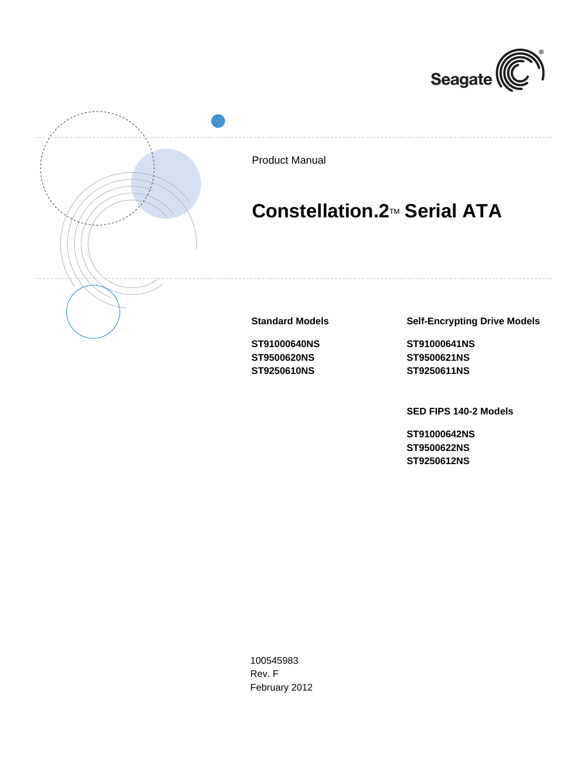



Product Manual

# **Constellation.2**TM **Serial ATA**

**Standard Models**

**ST91000640NS ST9500620NS ST9250610NS**

**Self-Encrypting Drive Models**

**ST91000641NS ST9500621NS ST9250611NS**

**SED FIPS 140-2 Models**

**ST91000642NS ST9500622NS ST9250612NS**

100545983 Rev. F February 2012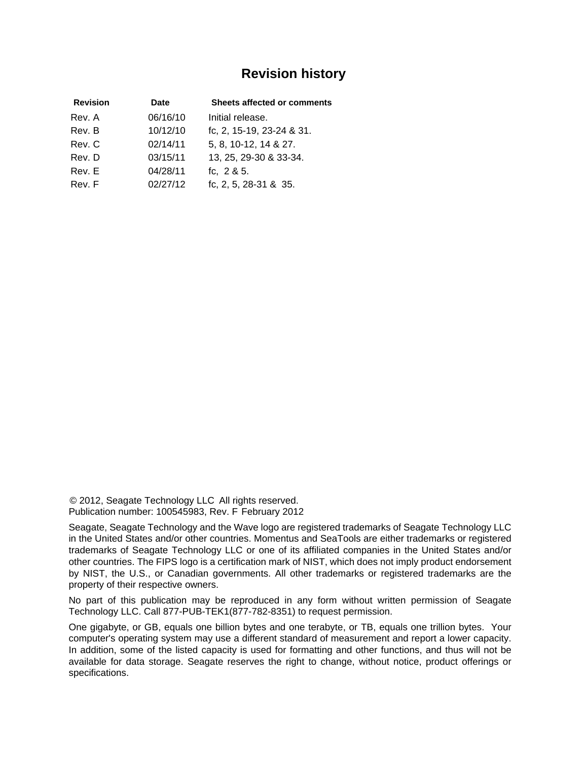## **Revision history**

| <b>Revision</b> | Date     | <b>Sheets affected or comments</b> |
|-----------------|----------|------------------------------------|
| Rev. A          | 06/16/10 | Initial release.                   |
| Rev. B          | 10/12/10 | fc, 2, 15-19, 23-24 & 31.          |
| Rev. C          | 02/14/11 | 5, 8, 10-12, 14 & 27.              |
| Rev. D          | 03/15/11 | 13, 25, 29-30 & 33-34.             |
| Rev. E          | 04/28/11 | fc, $2 & 5$ .                      |
| Rev. F          | 02/27/12 | fc, 2, 5, 28-31 & 35.              |

© 2012, Seagate Technology LLC All rights reserved. Publication number: 100545983, Rev. F February 2012

Seagate, Seagate Technology and the Wave logo are registered trademarks of Seagate Technology LLC in the United States and/or other countries. Momentus and SeaTools are either trademarks or registered trademarks of Seagate Technology LLC or one of its affiliated companies in the United States and/or other countries. The FIPS logo is a certification mark of NIST, which does not imply product endorsement by NIST, the U.S., or Canadian governments. All other trademarks or registered trademarks are the property of their respective owners.

No part of this publication may be reproduced in any form without written permission of Seagate Technology LLC. Call 877-PUB-TEK1(877-782-8351) to request permission.

One gigabyte, or GB, equals one billion bytes and one terabyte, or TB, equals one trillion bytes. Your computer's operating system may use a different standard of measurement and report a lower capacity. In addition, some of the listed capacity is used for formatting and other functions, and thus will not be available for data storage. Seagate reserves the right to change, without notice, product offerings or specifications.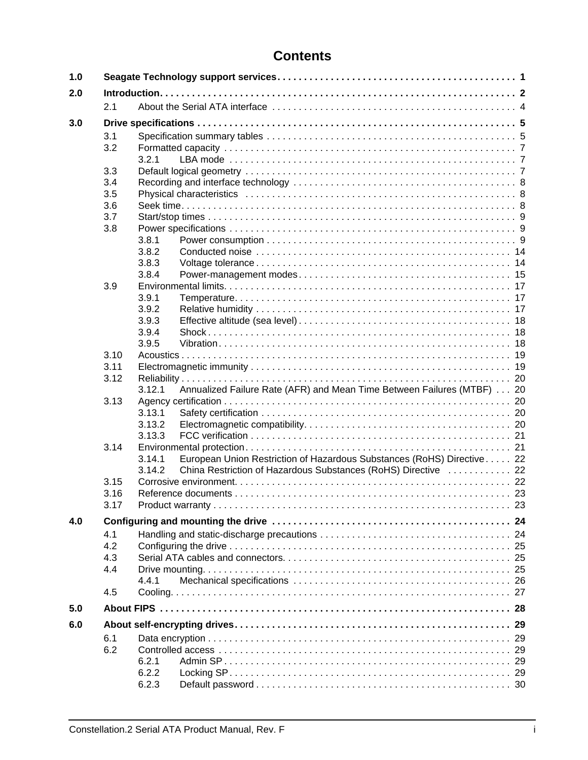# **Contents**

| 1.0 |      |                                                                                  |  |
|-----|------|----------------------------------------------------------------------------------|--|
| 2.0 |      |                                                                                  |  |
|     | 2.1  |                                                                                  |  |
| 3.0 |      |                                                                                  |  |
|     | 3.1  |                                                                                  |  |
|     | 3.2  |                                                                                  |  |
|     |      | 3.2.1                                                                            |  |
|     | 3.3  |                                                                                  |  |
|     | 3.4  |                                                                                  |  |
|     | 3.5  |                                                                                  |  |
|     | 3.6  |                                                                                  |  |
|     | 3.7  |                                                                                  |  |
|     | 3.8  |                                                                                  |  |
|     |      | 3.8.1                                                                            |  |
|     |      | 3.8.2                                                                            |  |
|     |      | 3.8.3                                                                            |  |
|     |      | 3.8.4                                                                            |  |
|     | 3.9  |                                                                                  |  |
|     |      | 3.9.1                                                                            |  |
|     |      | 3.9.2                                                                            |  |
|     |      | 3.9.3                                                                            |  |
|     |      | 3.9.4                                                                            |  |
|     |      | 3.9.5                                                                            |  |
|     | 3.10 |                                                                                  |  |
|     | 3.11 |                                                                                  |  |
|     | 3.12 |                                                                                  |  |
|     |      | Annualized Failure Rate (AFR) and Mean Time Between Failures (MTBF) 20<br>3.12.1 |  |
|     | 3.13 |                                                                                  |  |
|     |      | 3.13.1                                                                           |  |
|     |      | 3.13.2                                                                           |  |
|     |      | 3.13.3                                                                           |  |
|     | 3.14 |                                                                                  |  |
|     |      | 3.14.1<br>European Union Restriction of Hazardous Substances (RoHS) Directive 22 |  |
|     |      | 3.14.2<br>China Restriction of Hazardous Substances (RoHS) Directive  22         |  |
|     | 3.15 |                                                                                  |  |
|     | 3.16 |                                                                                  |  |
|     | 3.17 |                                                                                  |  |
| 4.0 |      |                                                                                  |  |
|     | 4.1  |                                                                                  |  |
|     | 4.2  |                                                                                  |  |
|     | 4.3  |                                                                                  |  |
|     | 4.4  |                                                                                  |  |
|     |      | 4.4.1                                                                            |  |
|     | 4.5  |                                                                                  |  |
| 5.0 |      |                                                                                  |  |
| 6.0 |      |                                                                                  |  |
|     | 6.1  |                                                                                  |  |
|     | 6.2  |                                                                                  |  |
|     |      | 6.2.1                                                                            |  |
|     |      | 6.2.2                                                                            |  |
|     |      | 6.2.3                                                                            |  |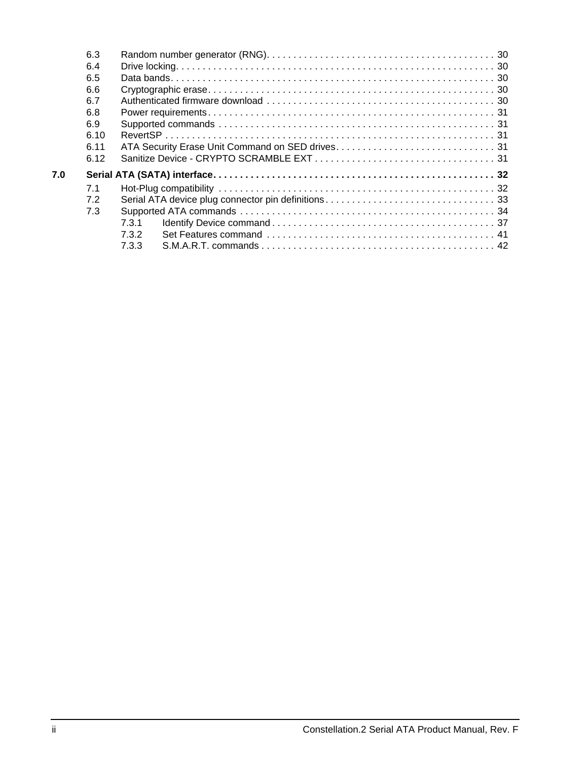|     | 6.3  |       |  |
|-----|------|-------|--|
|     | 6.4  |       |  |
|     | 6.5  |       |  |
|     | 6.6  |       |  |
|     | 6.7  |       |  |
|     | 6.8  |       |  |
|     | 6.9  |       |  |
|     | 6.10 |       |  |
|     | 6.11 |       |  |
|     | 6.12 |       |  |
| 7.0 |      |       |  |
|     | 7.1  |       |  |
|     | 7.2  |       |  |
|     | 7.3  |       |  |
|     |      | 7.3.1 |  |
|     |      | 732   |  |
|     |      | 733   |  |
|     |      |       |  |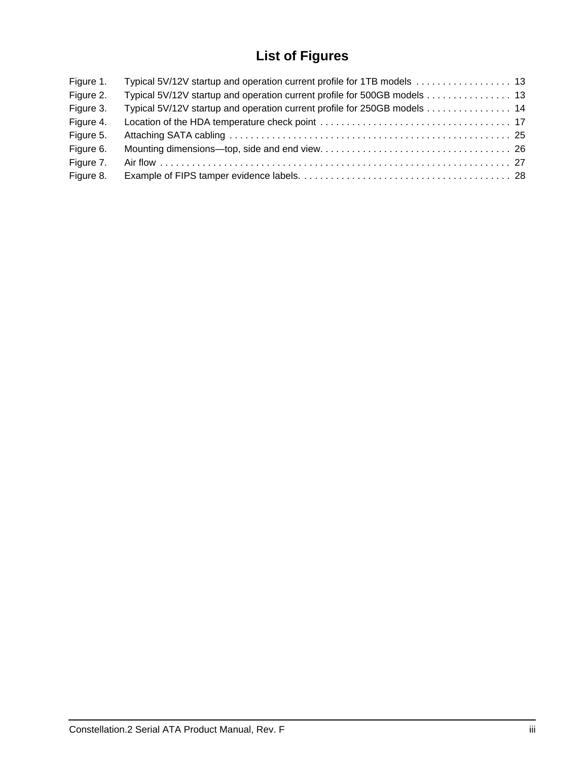# **List of Figures**

| Figure 1. |                                                                          |  |
|-----------|--------------------------------------------------------------------------|--|
| Figure 2. | Typical 5V/12V startup and operation current profile for 500GB models 13 |  |
| Figure 3. | Typical 5V/12V startup and operation current profile for 250GB models 14 |  |
| Figure 4. |                                                                          |  |
| Figure 5. |                                                                          |  |
| Figure 6. |                                                                          |  |
| Figure 7. |                                                                          |  |
| Figure 8. |                                                                          |  |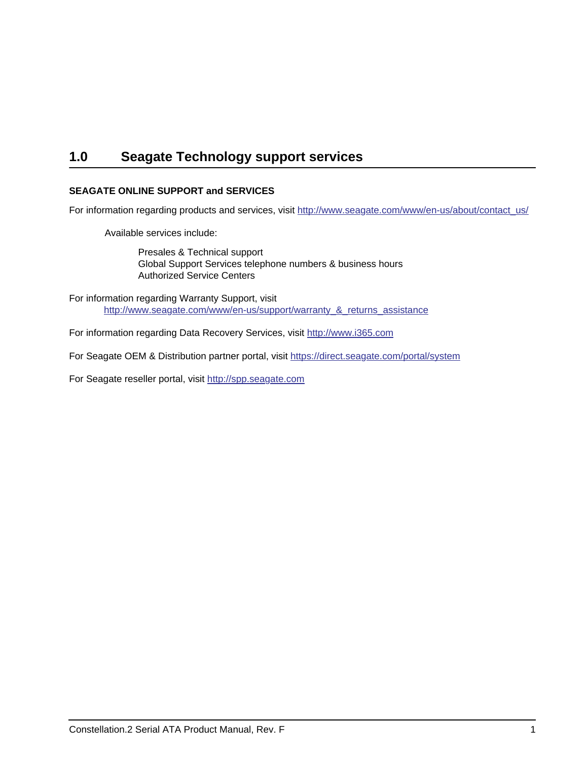# <span id="page-6-1"></span><span id="page-6-0"></span>**1.0 Seagate Technology support services**

### **SEAGATE ONLINE SUPPORT and SERVICES**

[For information regarding products and services, visit h](http://www.seagate.com/www/en-us/about/contact_us/)ttp://www.seagate.com/www/en-us/about/contact\_us/

Available services include:

Presales & Technical support Global Support Services telephone numbers & business hours Authorized Service Centers

For information regarding Warranty Support, visit [http://www.seag](http://www.seagate.com/www/en-us/support/warranty_&_returns_assistance)ate.com/www/en-us/support/warranty\_&\_returns\_assistance

[For information regarding Data Recovery Services, visit h](http://www.i365.com)ttp://www.i365.com

[For Seagate OEM & Distribution partner portal, visit h](https://direct.seagate.com/portal/system)ttps://direct.seagate.com/portal/system

[For Seagate reseller portal, visit h](http://spp.seagate.com)ttp://spp.seagate.com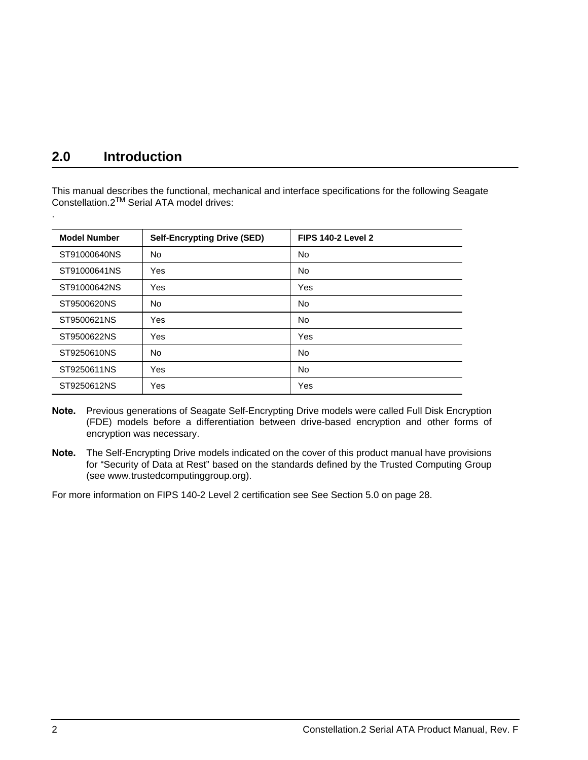# <span id="page-7-0"></span>**2.0 Introduction**

.

This manual describes the functional, mechanical and interface specifications for the following Seagate Constellation.2TM Serial ATA model drives:

| <b>Model Number</b> | <b>Self-Encrypting Drive (SED)</b> | <b>FIPS 140-2 Level 2</b> |
|---------------------|------------------------------------|---------------------------|
| ST91000640NS        | No.                                | <b>No</b>                 |
| ST91000641NS        | Yes                                | No                        |
| ST91000642NS        | Yes                                | Yes                       |
| ST9500620NS         | No                                 | No                        |
| ST9500621NS         | Yes                                | No                        |
| ST9500622NS         | Yes                                | Yes                       |
| ST9250610NS         | No                                 | No                        |
| ST9250611NS         | Yes                                | No                        |
| ST9250612NS         | Yes                                | Yes                       |

- **Note.** Previous generations of Seagate Self-Encrypting Drive models were called Full Disk Encryption (FDE) models before a differentiation between drive-based encryption and other forms of encryption was necessary.
- **Note.** The Self-Encrypting Drive models indicated on the cover of this product manual have provisions for "Security of Data at Rest" based on the standards defined by the Trusted Computing Group (see www.trustedcomputinggroup.org).

For more information on FIPS 140-2 Level 2 certification see [See Section 5.0 on page 28.](#page-33-0)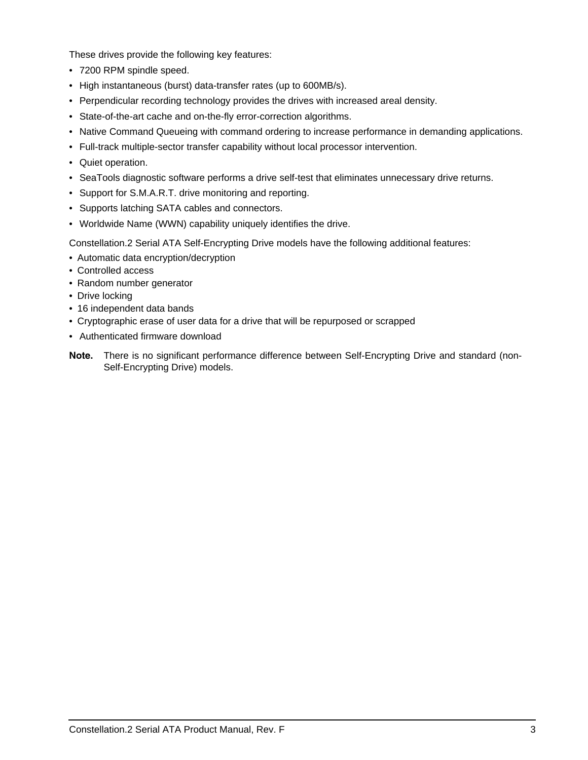<span id="page-8-3"></span>These drives provide the following key features:

- 7200 RPM spindle speed.
- <span id="page-8-1"></span>• High instantaneous (burst) data-transfer rates (up to 600MB/s).
- <span id="page-8-0"></span>• Perpendicular recording technology provides the drives with increased areal density.
- <span id="page-8-2"></span>• State-of-the-art cache and on-the-fly error-correction algorithms.
- Native Command Queueing with command ordering to increase performance in demanding applications.
- Full-track multiple-sector transfer capability without local processor intervention.
- Quiet operation.
- SeaTools diagnostic software performs a drive self-test that eliminates unnecessary drive returns.
- Support for S.M.A.R.T. drive monitoring and reporting.
- Supports latching SATA cables and connectors.
- Worldwide Name (WWN) capability uniquely identifies the drive.

Constellation.2 Serial ATA Self-Encrypting Drive models have the following additional features:

- Automatic data encryption/decryption
- Controlled access
- Random number generator
- Drive locking
- 16 independent data bands
- Cryptographic erase of user data for a drive that will be repurposed or scrapped
- Authenticated firmware download
- **Note.** There is no significant performance difference between Self-Encrypting Drive and standard (non-Self-Encrypting Drive) models.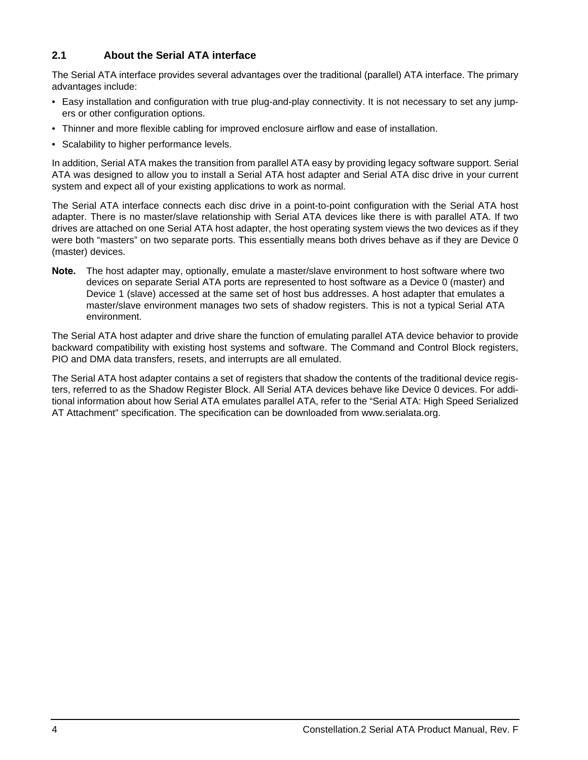### <span id="page-9-0"></span>**2.1 About the Serial ATA interface**

The Serial ATA interface provides several advantages over the traditional (parallel) ATA interface. The primary advantages include:

- Easy installation and configuration with true plug-and-play connectivity. It is not necessary to set any jumpers or other configuration options.
- Thinner and more flexible cabling for improved enclosure airflow and ease of installation.
- Scalability to higher performance levels.

In addition, Serial ATA makes the transition from parallel ATA easy by providing legacy software support. Serial ATA was designed to allow you to install a Serial ATA host adapter and Serial ATA disc drive in your current system and expect all of your existing applications to work as normal.

<span id="page-9-2"></span>The Serial ATA interface connects each disc drive in a point-to-point configuration with the Serial ATA host adapter. There is no master/slave relationship with Serial ATA devices like there is with parallel ATA. If two drives are attached on one Serial ATA host adapter, the host operating system views the two devices as if they were both "masters" on two separate ports. This essentially means both drives behave as if they are Device 0 (master) devices.

<span id="page-9-3"></span><span id="page-9-1"></span>**Note.** The host adapter may, optionally, emulate a master/slave environment to host software where two devices on separate Serial ATA ports are represented to host software as a Device 0 (master) and Device 1 (slave) accessed at the same set of host bus addresses. A host adapter that emulates a master/slave environment manages two sets of shadow registers. This is not a typical Serial ATA environment.

The Serial ATA host adapter and drive share the function of emulating parallel ATA device behavior to provide backward compatibility with existing host systems and software. The Command and Control Block registers, PIO and DMA data transfers, resets, and interrupts are all emulated.

The Serial ATA host adapter contains a set of registers that shadow the contents of the traditional device registers, referred to as the Shadow Register Block. All Serial ATA devices behave like Device 0 devices. For additional information about how Serial ATA emulates parallel ATA, refer to the "Serial ATA: High Speed Serialized AT Attachment" specification. The specification can be downloaded from www.serialata.org.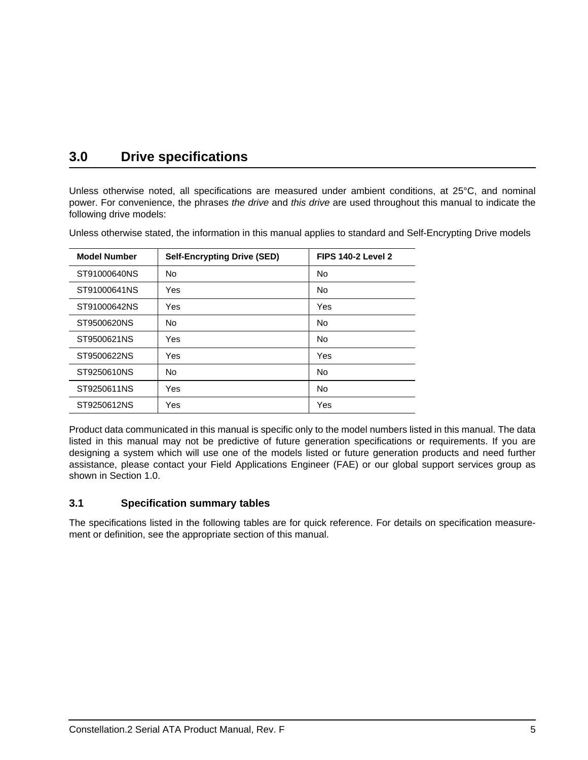# <span id="page-10-0"></span>**3.0 Drive specifications**

Unless otherwise noted, all specifications are measured under ambient conditions, at 25°C, and nominal power. For convenience, the phrases *the drive* and *this drive* are used throughout this manual to indicate the following drive models:

| <b>Model Number</b> | <b>Self-Encrypting Drive (SED)</b> | <b>FIPS 140-2 Level 2</b> |
|---------------------|------------------------------------|---------------------------|
| ST91000640NS        | <b>No</b>                          | <b>No</b>                 |
| ST91000641NS        | Yes                                | <b>No</b>                 |
| ST91000642NS        | Yes                                | Yes                       |
| ST9500620NS         | <b>No</b>                          | <b>No</b>                 |
| ST9500621NS         | Yes                                | <b>No</b>                 |
| ST9500622NS         | Yes                                | Yes                       |
| ST9250610NS         | <b>No</b>                          | <b>No</b>                 |
| ST9250611NS         | Yes                                | <b>No</b>                 |
| ST9250612NS         | Yes                                | Yes                       |

Unless otherwise stated, the information in this manual applies to standard and Self-Encrypting Drive models

Product data communicated in this manual is specific only to the model numbers listed in this manual. The data listed in this manual may not be predictive of future generation specifications or requirements. If you are designing a system which will use one of the models listed or future generation products and need further assistance, please contact your Field Applications Engineer (FAE) or our global support services group as shown in [Section 1.0](#page-6-0).

### <span id="page-10-3"></span><span id="page-10-1"></span>**3.1 Specification summary tables**

<span id="page-10-2"></span>The specifications listed in the following tables are for quick reference. For details on specification measurement or definition, see the appropriate section of this manual.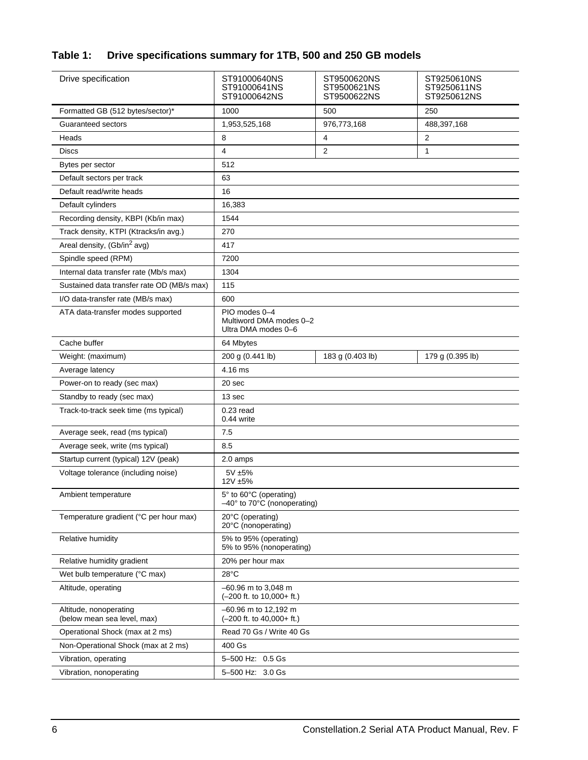# **Table 1: Drive specifications summary for 1TB, 500 and 250 GB models**

| Drive specification                                   | ST91000640NS<br>ST91000641NS<br>ST91000642NS                    | ST9500620NS<br>ST9500621NS<br>ST9500622NS | ST9250610NS<br>ST9250611NS<br>ST9250612NS |
|-------------------------------------------------------|-----------------------------------------------------------------|-------------------------------------------|-------------------------------------------|
| Formatted GB (512 bytes/sector)*                      | 1000                                                            | 500                                       | 250                                       |
| Guaranteed sectors                                    | 1,953,525,168                                                   | 976,773,168                               | 488,397,168                               |
| Heads                                                 | 8                                                               | 4                                         | 2                                         |
| Discs                                                 | 4                                                               | 2                                         | 1                                         |
| Bytes per sector                                      | 512                                                             |                                           |                                           |
| Default sectors per track                             | 63                                                              |                                           |                                           |
| Default read/write heads                              | 16                                                              |                                           |                                           |
| Default cylinders                                     | 16,383                                                          |                                           |                                           |
| Recording density, KBPI (Kb/in max)                   | 1544                                                            |                                           |                                           |
| Track density, KTPI (Ktracks/in avg.)                 | 270                                                             |                                           |                                           |
| Areal density, (Gb/in <sup>2</sup> avg)               | 417                                                             |                                           |                                           |
| Spindle speed (RPM)                                   | 7200                                                            |                                           |                                           |
| Internal data transfer rate (Mb/s max)                | 1304                                                            |                                           |                                           |
| Sustained data transfer rate OD (MB/s max)            | 115                                                             |                                           |                                           |
| I/O data-transfer rate (MB/s max)                     | 600                                                             |                                           |                                           |
| ATA data-transfer modes supported                     | PIO modes 0-4<br>Multiword DMA modes 0-2<br>Ultra DMA modes 0-6 |                                           |                                           |
| Cache buffer                                          | 64 Mbytes                                                       |                                           |                                           |
| Weight: (maximum)                                     | 200 g (0.441 lb)                                                | 183 g (0.403 lb)                          | 179 g (0.395 lb)                          |
| Average latency                                       | 4.16 ms                                                         |                                           |                                           |
| Power-on to ready (sec max)                           | 20 sec                                                          |                                           |                                           |
| Standby to ready (sec max)                            | 13 sec                                                          |                                           |                                           |
| Track-to-track seek time (ms typical)                 | $0.23$ read<br>0.44 write                                       |                                           |                                           |
| Average seek, read (ms typical)                       | 7.5                                                             |                                           |                                           |
| Average seek, write (ms typical)                      | 8.5                                                             |                                           |                                           |
| Startup current (typical) 12V (peak)                  | 2.0 amps                                                        |                                           |                                           |
| Voltage tolerance (including noise)                   | 5V ±5%<br>12V ±5%                                               |                                           |                                           |
| Ambient temperature                                   | 5° to 60°C (operating)<br>-40° to 70°C (nonoperating)           |                                           |                                           |
| Temperature gradient (°C per hour max)                | 20°C (operating)<br>20°C (nonoperating)                         |                                           |                                           |
| Relative humidity                                     | 5% to 95% (operating)<br>5% to 95% (nonoperating)               |                                           |                                           |
| Relative humidity gradient                            | 20% per hour max                                                |                                           |                                           |
| Wet bulb temperature (°C max)                         | 28°C                                                            |                                           |                                           |
| Altitude, operating                                   | -60.96 m to 3,048 m<br>$(-200$ ft. to $10,000+$ ft.)            |                                           |                                           |
| Altitude, nonoperating<br>(below mean sea level, max) | -60.96 m to 12,192 m<br>$(-200$ ft. to $40,000+$ ft.)           |                                           |                                           |
| Operational Shock (max at 2 ms)                       | Read 70 Gs / Write 40 Gs                                        |                                           |                                           |
| Non-Operational Shock (max at 2 ms)                   | 400 Gs                                                          |                                           |                                           |
| Vibration, operating                                  | 5-500 Hz: 0.5 Gs                                                |                                           |                                           |
| Vibration, nonoperating                               | 5-500 Hz: 3.0 Gs                                                |                                           |                                           |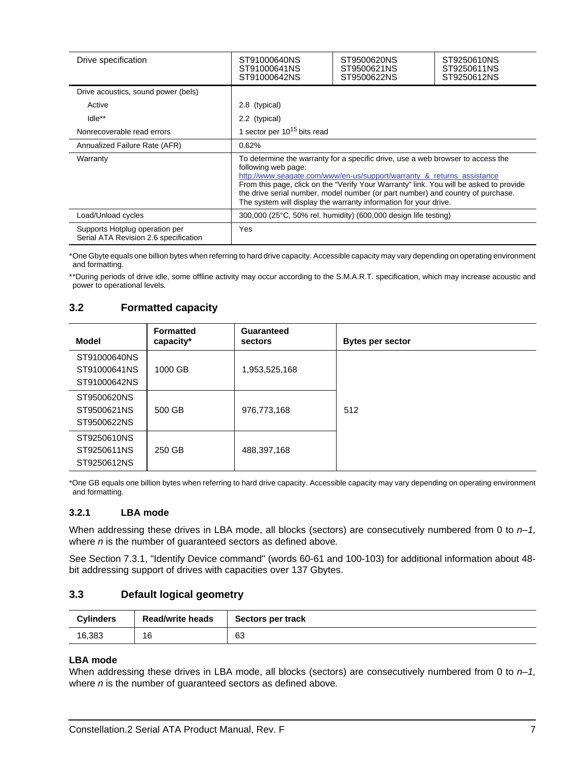| Drive specification                                                     | ST91000640NS<br>ST91000641NS<br>ST91000642NS                                                                                                                                                                                                                                                                                                                                                                                      | ST9500620NS<br>ST9500621NS<br>ST9500622NS | ST9250610NS<br>ST9250611NS<br>ST9250612NS |
|-------------------------------------------------------------------------|-----------------------------------------------------------------------------------------------------------------------------------------------------------------------------------------------------------------------------------------------------------------------------------------------------------------------------------------------------------------------------------------------------------------------------------|-------------------------------------------|-------------------------------------------|
| Drive acoustics, sound power (bels)                                     |                                                                                                                                                                                                                                                                                                                                                                                                                                   |                                           |                                           |
| Active                                                                  | 2.8 (typical)                                                                                                                                                                                                                                                                                                                                                                                                                     |                                           |                                           |
| Idle**                                                                  | 2.2 (typical)                                                                                                                                                                                                                                                                                                                                                                                                                     |                                           |                                           |
| Nonrecoverable read errors                                              | 1 sector per 10 <sup>15</sup> bits read                                                                                                                                                                                                                                                                                                                                                                                           |                                           |                                           |
| Annualized Failure Rate (AFR)                                           | 0.62%                                                                                                                                                                                                                                                                                                                                                                                                                             |                                           |                                           |
| Warranty                                                                | To determine the warranty for a specific drive, use a web browser to access the<br>following web page:<br>http://www.seagate.com/www/en-us/support/warranty & returns assistance<br>From this page, click on the "Verify Your Warranty" link. You will be asked to provide<br>the drive serial number, model number (or part number) and country of purchase.<br>The system will display the warranty information for your drive. |                                           |                                           |
| Load/Unload cycles                                                      | 300,000 (25°C, 50% rel. humidity) (600,000 design life testing)                                                                                                                                                                                                                                                                                                                                                                   |                                           |                                           |
| Supports Hotplug operation per<br>Serial ATA Revision 2.6 specification | Yes                                                                                                                                                                                                                                                                                                                                                                                                                               |                                           |                                           |

\*One Gbyte equals one billion bytes when referring to hard drive capacity. Accessible capacity may vary depending on operating environment and formatting.

\*\*During periods of drive idle, some offline activity may occur according to the S.M.A.R.T. specification, which may increase acoustic and power to operational levels*.*

### <span id="page-12-6"></span><span id="page-12-3"></span><span id="page-12-0"></span>**3.2 Formatted capacity**

| Model                        | <b>Formatted</b><br>capacity* | Guaranteed<br>sectors | <b>Bytes per sector</b> |
|------------------------------|-------------------------------|-----------------------|-------------------------|
| ST91000640NS<br>ST91000641NS | 1000 GB                       | 1,953,525,168         |                         |
| ST91000642NS                 |                               |                       |                         |
| ST9500620NS                  |                               |                       |                         |
| ST9500621NS                  | 500 GB                        | 976,773,168           | 512                     |
| ST9500622NS                  |                               |                       |                         |
| ST9250610NS                  |                               |                       |                         |
| ST9250611NS                  | 250 GB                        | 488,397,168           |                         |
| ST9250612NS                  |                               |                       |                         |

\*One GB equals one billion bytes when referring to hard drive capacity. Accessible capacity may vary depending on operating environment and formatting.

### <span id="page-12-10"></span><span id="page-12-1"></span>**3.2.1 LBA mode**

<span id="page-12-13"></span><span id="page-12-8"></span>When addressing these drives in LBA mode, all blocks (sectors) are consecutively numbered from 0 to  $n-1$ , where *n* is the number of guaranteed sectors as defined above*.*

See [Section 7.3.1, "Identify Device command"](#page-42-0) (words 60-61 and 100-103) for additional information about 48 bit addressing support of drives with capacities over 137 Gbytes.

### <span id="page-12-11"></span><span id="page-12-7"></span><span id="page-12-5"></span><span id="page-12-2"></span>**3.3 Default logical geometry**

<span id="page-12-14"></span><span id="page-12-12"></span><span id="page-12-9"></span><span id="page-12-4"></span>

| <b>Cylinders</b> | <b>Read/write heads</b> | Sectors per track |
|------------------|-------------------------|-------------------|
| 16,383           | 16                      | 63                |

### **LBA mode**

When addressing these drives in LBA mode, all blocks (sectors) are consecutively numbered from 0 to  $n-1$ , where *n* is the number of guaranteed sectors as defined above*.*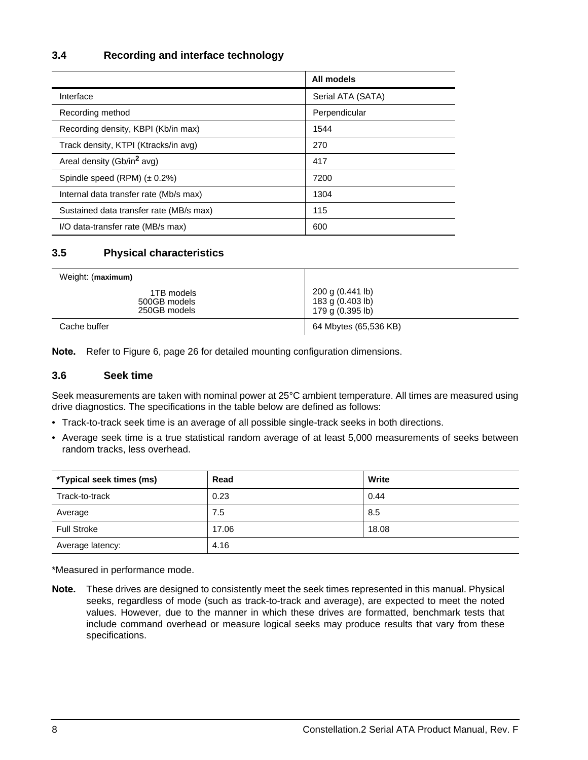### <span id="page-13-22"></span><span id="page-13-0"></span>**3.4 Recording and interface technology**

<span id="page-13-27"></span><span id="page-13-21"></span><span id="page-13-20"></span><span id="page-13-13"></span><span id="page-13-10"></span><span id="page-13-7"></span><span id="page-13-4"></span>

|                                         | All models        |
|-----------------------------------------|-------------------|
| Interface                               | Serial ATA (SATA) |
| Recording method                        | Perpendicular     |
| Recording density, KBPI (Kb/in max)     | 1544              |
| Track density, KTPI (Ktracks/in avg)    | 270               |
| Areal density (Gb/in <sup>2</sup> avg)  | 417               |
| Spindle speed $(RPM)$ ( $\pm$ 0.2%)     | 7200              |
| Internal data transfer rate (Mb/s max)  | 1304              |
| Sustained data transfer rate (MB/s max) | 115               |
| I/O data-transfer rate (MB/s max)       | 600               |

### <span id="page-13-25"></span><span id="page-13-19"></span><span id="page-13-14"></span><span id="page-13-12"></span><span id="page-13-1"></span>**3.5 Physical characteristics**

<span id="page-13-30"></span>

| Weight: (maximum)                          |                                                          |
|--------------------------------------------|----------------------------------------------------------|
| 1TB models<br>500GB models<br>250GB models | 200 g (0.441 lb)<br>183 g (0.403 lb)<br>179 g (0.395 lb) |
| Cache buffer                               | 64 Mbytes (65,536 KB)                                    |

<span id="page-13-17"></span><span id="page-13-11"></span><span id="page-13-9"></span><span id="page-13-8"></span>**Note.** Refer to [Figure 6, page 26](#page-31-1) for detailed mounting configuration dimensions.

### <span id="page-13-23"></span><span id="page-13-2"></span>**3.6 Seek time**

<span id="page-13-26"></span><span id="page-13-18"></span><span id="page-13-3"></span>Seek measurements are taken with nominal power at 25°C ambient temperature. All times are measured using drive diagnostics. The specifications in the table below are defined as follows:

- <span id="page-13-29"></span><span id="page-13-24"></span><span id="page-13-15"></span><span id="page-13-6"></span>• Track-to-track seek time is an average of all possible single-track seeks in both directions.
- Average seek time is a true statistical random average of at least 5,000 measurements of seeks between random tracks, less overhead.

<span id="page-13-28"></span>

| *Typical seek times (ms) | Read  | Write |
|--------------------------|-------|-------|
| Track-to-track           | 0.23  | 0.44  |
| Average                  | 7.5   | 8.5   |
| <b>Full Stroke</b>       | 17.06 | 18.08 |
| Average latency:         | 4.16  |       |

<span id="page-13-16"></span><span id="page-13-5"></span>\*Measured in performance mode.

**Note.** These drives are designed to consistently meet the seek times represented in this manual. Physical seeks, regardless of mode (such as track-to-track and average), are expected to meet the noted values. However, due to the manner in which these drives are formatted, benchmark tests that include command overhead or measure logical seeks may produce results that vary from these specifications.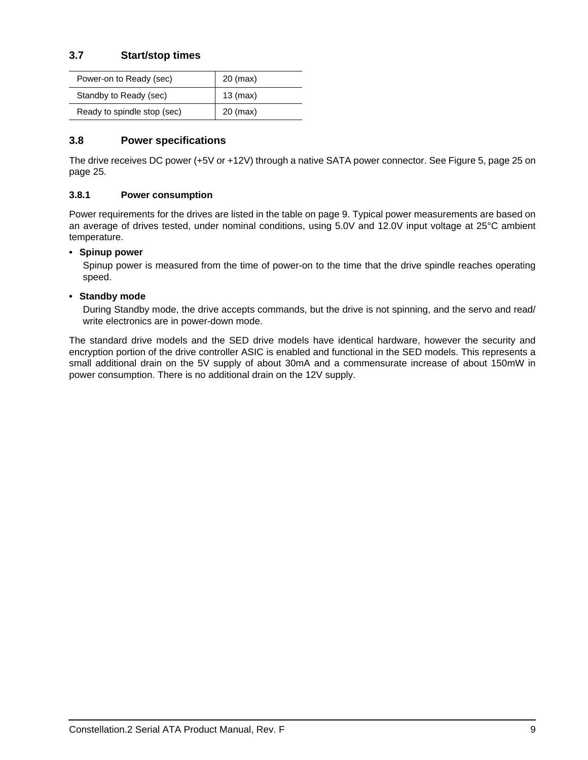### <span id="page-14-12"></span><span id="page-14-0"></span>**3.7 Start/stop times**

<span id="page-14-11"></span><span id="page-14-8"></span>

| Power-on to Ready (sec)     | 20 (max)   |
|-----------------------------|------------|
| Standby to Ready (sec)      | $13$ (max) |
| Ready to spindle stop (sec) | 20 (max)   |

### <span id="page-14-7"></span><span id="page-14-1"></span>**3.8 Power specifications**

<span id="page-14-4"></span>The drive receives DC power (+5V or +12V) through a native SATA power connector. See [Figure 5, page 25](#page-30-3) on [page 25](#page-30-3).

### <span id="page-14-6"></span><span id="page-14-2"></span>**3.8.1 Power consumption**

Power requirements for the drives are listed in the table on page 9. Typical power measurements are based on an average of drives tested, under nominal conditions, using 5.0V and 12.0V input voltage at 25°C ambient temperature.

### **• Spinup power**

<span id="page-14-13"></span><span id="page-14-9"></span><span id="page-14-5"></span><span id="page-14-3"></span>Spinup power is measured from the time of power-on to the time that the drive spindle reaches operating speed.

### **• Standby mode**

<span id="page-14-10"></span>During Standby mode, the drive accepts commands, but the drive is not spinning, and the servo and read/ write electronics are in power-down mode.

The standard drive models and the SED drive models have identical hardware, however the security and encryption portion of the drive controller ASIC is enabled and functional in the SED models. This represents a small additional drain on the 5V supply of about 30mA and a commensurate increase of about 150mW in power consumption. There is no additional drain on the 12V supply.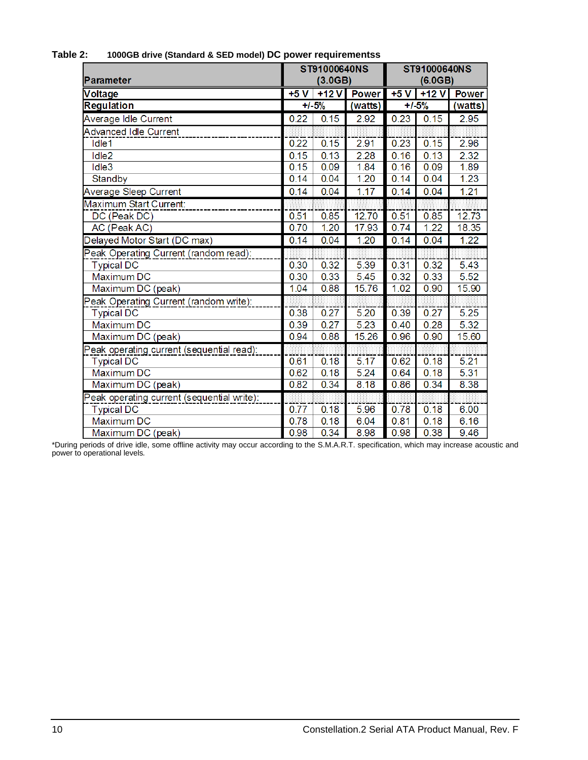| Parameter                                  | ST91000640NS<br>(3.0GB) |           |              | ST91000640NS<br>(6.0GB) |         |              |
|--------------------------------------------|-------------------------|-----------|--------------|-------------------------|---------|--------------|
| Voltage                                    | $+5V$                   | $+12V$    | <b>Power</b> | $+5V$                   | $+12V$  | <b>Power</b> |
| <b>Regulation</b>                          |                         | $+1 - 5%$ | (watts)      |                         | $+1.5%$ | (watts)      |
| Average Idle Current                       | 0.22                    | 0.15      | 2.92         | 0.23                    | 0.15    | 2.95         |
| <b>Advanced Idle Current</b>               |                         |           |              |                         |         |              |
| Idle1                                      | 0.22                    | 0.15      | 2.91         | 0.23                    | 0.15    | 2.96         |
| Idle <sub>2</sub>                          | 0.15                    | 0.13      | 2.28         | 0.16                    | 0.13    | 2.32         |
| Idle3                                      | 0.15                    | 0.09      | 1.84         | 0.16                    | 0.09    | 1.89         |
| Standby                                    | 0.14                    | 0.04      | 1.20         | 0.14                    | 0.04    | 1.23         |
| Average Sleep Current                      | 0.14                    | 0.04      | 1.17         | 0.14                    | 0.04    | 1.21         |
| Maximum Start Current:                     |                         |           |              |                         |         |              |
| DC (Peak DC)                               | 0.51                    | 0.85      | 12.70        | 0.51                    | 0.85    | 12.73        |
| AC (Peak AC)                               | 0.70                    | 1.20      | 17.93        | 0.74                    | 1.22    | 18.35        |
| Delayed Motor Start (DC max)               | 0.14                    | 0.04      | 1.20         | 0.14                    | 0.04    | 1.22         |
| Peak Operating Current (random read):      |                         |           |              |                         |         |              |
| <b>Typical DC</b>                          | 0.30                    | 0.32      | 5.39         | 0.31                    | 0.32    | 5.43         |
| <b>Maximum DC</b>                          | 0.30                    | 0.33      | 5.45         | 0.32                    | 0.33    | 5.52         |
| Maximum DC (peak)                          | 1.04                    | 0.88      | 15.76        | 1.02                    | 0.90    | 15.90        |
| Peak Operating Current (random write):     |                         |           |              |                         |         |              |
| <b>Typical DC</b>                          | 0.38                    | 0.27      | 5.20         | 0.39                    | 0.27    | 5.25         |
| Maximum DC                                 | 0.39                    | 0.27      | 5.23         | 0.40                    | 0.28    | 5.32         |
| Maximum DC (peak)                          | 0.94                    | 0.88      | 15.26        | 0.96                    | 0.90    | 15.60        |
| Peak operating current (sequential read):  |                         |           |              |                         |         |              |
| <b>Typical DC</b>                          | 0.61                    | 0.18      | 5.17         | 0.62                    | 0.18    | 5.21         |
| <b>Maximum DC</b>                          | 0.62                    | 0.18      | 5.24         | 0.64                    | 0.18    | 5.31         |
| Maximum DC (peak)                          | 0.82                    | 0.34      | 8.18         | 0.86                    | 0.34    | 8.38         |
| Peak operating current (sequential write): |                         |           |              |                         |         |              |
| <b>Typical DC</b>                          | 0.77                    | 0.18      | 5.96         | 0.78                    | 0.18    | 6.00         |
| <b>Maximum DC</b>                          | 0.78                    | 0.18      | 6.04         | 0.81                    | 0.18    | 6.16         |
| Maximum DC (peak)                          | 0.98                    | 0.34      | 8.98         | 0.98                    | 0.38    | 9.46         |

### **Table 2: 1000GB drive (Standard & SED model) DC power requirementss**

\*During periods of drive idle, some offline activity may occur according to the S.M.A.R.T. specification, which may increase acoustic and power to operational levels*.*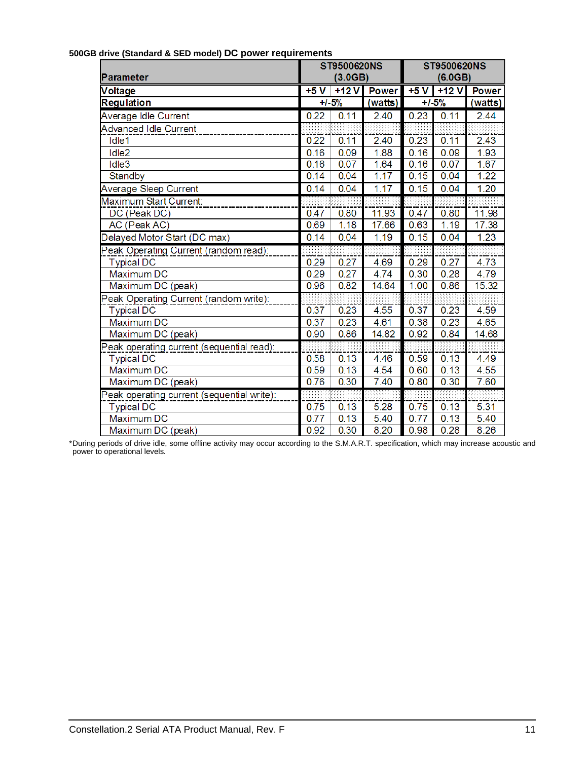| Parameter                                  |      | ST9500620NS<br>(3.0GB) |              |       | ST9500620NS<br>(6.0GB) |              |  |
|--------------------------------------------|------|------------------------|--------------|-------|------------------------|--------------|--|
| Voltage                                    | +5 V | $+12V$                 | <b>Power</b> | $+5V$ | $+12V$                 | <b>Power</b> |  |
| <b>Regulation</b>                          |      | $+1 - 5%$              | (watts)      |       | $+1.5%$                | (watts)      |  |
| Average Idle Current                       | 0.22 | 0.11                   | 2.40         | 0.23  | 0.11                   | 2.44         |  |
| <b>Advanced Idle Current</b>               |      |                        |              |       |                        |              |  |
| Idle1                                      | 0.22 | 0.11                   | 2.40         | 0.23  | 0.11                   | 2.43         |  |
| Idle <sub>2</sub>                          | 0.16 | 0.09                   | 1.88         | 0.16  | 0.09                   | 1.93         |  |
| Idle3                                      | 0.16 | 0.07                   | 1.64         | 0.16  | 0.07                   | 1.67         |  |
| Standby                                    | 0.14 | 0.04                   | 1.17         | 0.15  | 0.04                   | 1.22         |  |
| Average Sleep Current                      | 0.14 | 0.04                   | 1.17         | 0.15  | 0.04                   | 1.20         |  |
| Maximum Start Current:                     |      |                        |              |       |                        |              |  |
| DC (Peak DC)                               | 0.47 | 0.80                   | 11.93        | 0.47  | 0.80                   | 11.98        |  |
| AC (Peak AC)                               | 0.69 | 1.18                   | 17.66        | 0.63  | 1.19                   | 17.38        |  |
| Delayed Motor Start (DC max)               | 0.14 | 0.04                   | 1.19         | 0.15  | 0.04                   | 1.23         |  |
| Peak Operating Current (random read):      |      |                        |              |       |                        |              |  |
| <b>Typical DC</b>                          | 0.29 | 0.27                   | 4.69         | 0.29  | 0.27                   | 4.73         |  |
| Maximum DC                                 | 0.29 | 0.27                   | 4.74         | 0.30  | 0.28                   | 4.79         |  |
| Maximum DC (peak)                          | 0.96 | 0.82                   | 14.64        | 1.00  | 0.86                   | 15.32        |  |
| Peak Operating Current (random write):     |      |                        |              |       |                        |              |  |
| <b>Typical DC</b>                          | 0.37 | 0.23                   | 4.55         | 0.37  | 0.23                   | 4.59         |  |
| Maximum DC                                 | 0.37 | 0.23                   | 4.61         | 0.38  | 0.23                   | 4.65         |  |
| Maximum DC (peak)                          | 0.90 | 0.86                   | 14.82        | 0.92  | 0.84                   | 14.68        |  |
| Peak operating current (sequential read):  |      |                        |              |       |                        |              |  |
| <b>Typical DC</b>                          | 0.58 | 0.13                   | 4.46         | 0.59  | 0.13                   | 4.49         |  |
| <b>Maximum DC</b>                          | 0.59 | 0.13                   | 4.54         | 0.60  | 0.13                   | 4.55         |  |
| Maximum DC (peak)                          | 0.76 | 0.30                   | 7.40         | 0.80  | 0.30                   | 7.60         |  |
| Peak operating current (sequential write): |      |                        |              |       |                        |              |  |
| <b>Typical DC</b>                          | 0.75 | 0.13                   | 5.28         | 0.75  | 0.13                   | 5.31         |  |
| <b>Maximum DC</b>                          | 0.77 | 0.13                   | 5.40         | 0.77  | 0.13                   | 5.40         |  |
| Maximum DC (peak)                          | 0.92 | 0.30                   | 8.20         | 0.98  | 0.28                   | 8.26         |  |

### **500GB drive (Standard & SED model) DC power requirements**

\*During periods of drive idle, some offline activity may occur according to the S.M.A.R.T. specification, which may increase acoustic and power to operational levels*.*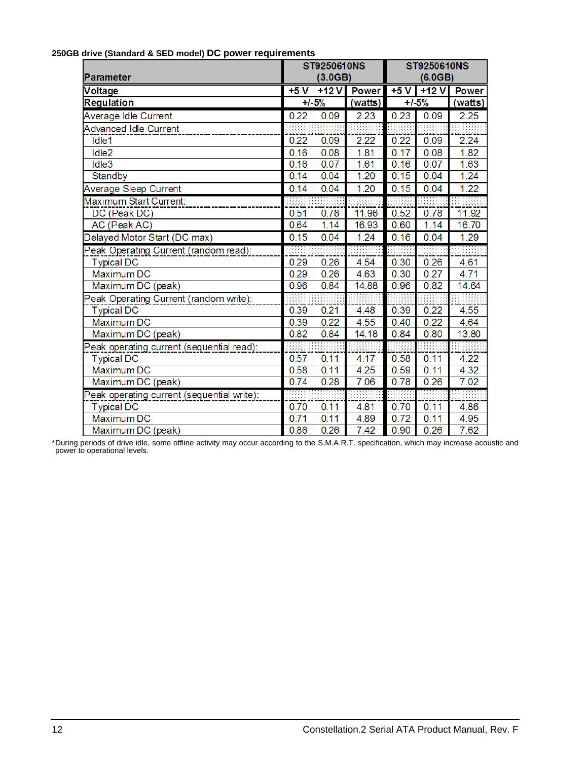### **250GB drive (Standard & SED model) DC power requirements**

| Parameter                                  | ST9250610NS<br>(3.0GB) |           |              |       | ST9250610NS<br>(6.0GB) |              |
|--------------------------------------------|------------------------|-----------|--------------|-------|------------------------|--------------|
| <b>Voltage</b>                             | $+5V$                  | $+12V$    | <b>Power</b> | $+5V$ | $+12V$                 | <b>Power</b> |
| Regulation                                 |                        | $+1 - 5%$ | (watts)      |       | $+1.5%$                | (watts)      |
| Average Idle Current                       | 0.22                   | 0.09      | 2.23         | 0.23  | 0.09                   | 2.25         |
| <b>Advanced Idle Current</b>               |                        |           |              |       |                        |              |
| Idle1                                      | 0.22                   | 0.09      | 2.22         | 0.22  | 0.09                   | 2.24         |
| Idle <sub>2</sub>                          | 0.16                   | 0.08      | 1.81         | 0.17  | 0.08                   | 1.82         |
| Idle3                                      | 0.16                   | 0.07      | 1.61         | 0.16  | 0.07                   | 1.63         |
| Standby                                    | 0.14                   | 0.04      | 1.20         | 0.15  | 0.04                   | 1.24         |
| Average Sleep Current                      | 0.14                   | 0.04      | 1.20         | 0.15  | 0.04                   | 1.22         |
| Maximum Start Current:                     |                        |           |              |       |                        |              |
| DC (Peak DC)                               | 0.51                   | 0.78      | 11.96        | 0.52  | 0.78                   | 11.92        |
| AC (Peak AC)                               | 0.64                   | 1.14      | 16.93        | 0.60  | 1.14                   | 16.70        |
| Delayed Motor Start (DC max)               | 0.15                   | 0.04      | 1.24         | 0.16  | 0.04                   | 1.29         |
| Peak Operating Current (random read):      |                        |           |              |       |                        |              |
| <b>Typical DC</b>                          | 0.29                   | 0.26      | 4.54         | 0.30  | 0.26                   | 4.61         |
| Maximum DC                                 | 0.29                   | 0.26      | 4.63         | 0.30  | 0.27                   | 4.71         |
| Maximum DC (peak)                          | 0.96                   | 0.84      | 14.88        | 0.96  | 0.82                   | 14.64        |
| Peak Operating Current (random write):     |                        |           |              |       |                        |              |
| <b>Typical DC</b>                          | 0.39                   | 0.21      | 4.48         | 0.39  | 0.22                   | 4.55         |
| Maximum DC                                 | 0.39                   | 0.22      | 4.55         | 0.40  | 0.22                   | 4.64         |
| Maximum DC (peak)                          | 0.82                   | 0.84      | 14.18        | 0.84  | 0.80                   | 13.80        |
| Peak operating current (sequential read):  |                        |           |              |       |                        |              |
| <b>Typical DC</b>                          | 0.57                   | 0.11      | 4.17         | 0.58  | 0.11                   | 4.22         |
| <b>Maximum DC</b>                          | 0.58                   | 0.11      | 4.25         | 0.59  | 0.11                   | 4.32         |
| Maximum DC (peak)                          | 0.74                   | 0.28      | 7.06         | 0.78  | 0.26                   | 7.02         |
| Peak operating current (sequential write): |                        |           |              |       |                        |              |
| <b>Typical DC</b>                          | 0.70                   | 0.11      | 4.81         | 0.70  | 0.11                   | 4.86         |
| <b>Maximum DC</b>                          | 0.71                   | 0.11      | 4.89         | 0.72  | 0.11                   | 4.95         |
| Maximum DC (peak)                          | 0.86                   | 0.26      | 7.42         | 0.90  | 0.26                   | 7.62         |

\*During periods of drive idle, some offline activity may occur according to the S.M.A.R.T. specification, which may increase acoustic and power to operational levels*.*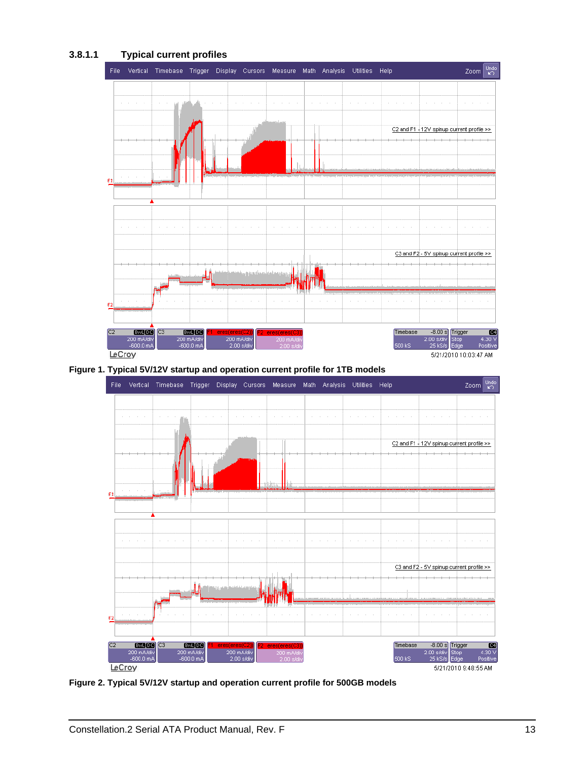### **3.8.1.1 Typical current profiles**



<span id="page-18-0"></span>



<span id="page-18-1"></span>**Figure 2. Typical 5V/12V startup and operation current profile for 500GB models**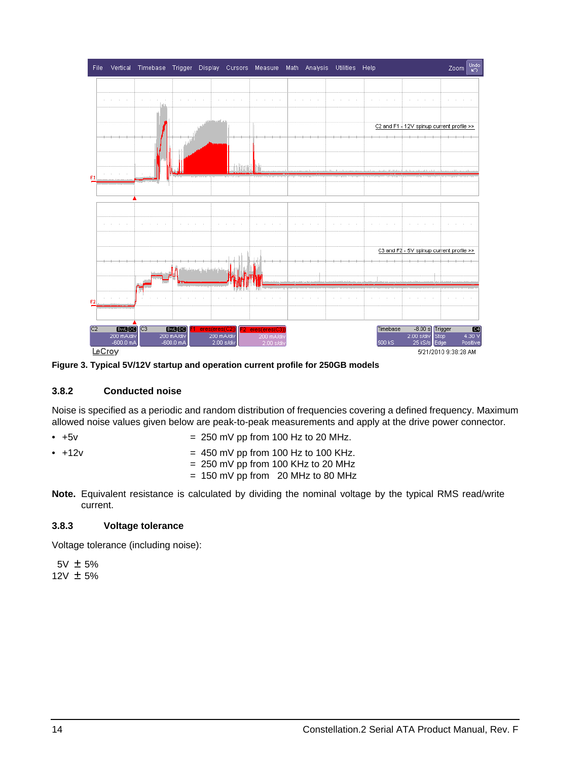

<span id="page-19-2"></span>**Figure 3. Typical 5V/12V startup and operation current profile for 250GB models**

### <span id="page-19-4"></span><span id="page-19-3"></span><span id="page-19-0"></span>**3.8.2 Conducted noise**

Noise is specified as a periodic and random distribution of frequencies covering a defined frequency. Maximum allowed noise values given below are peak-to-peak measurements and apply at the drive power connector.

- $\bullet$  +5v  $\bullet$  +5v  $\bullet$  250 mV pp from 100 Hz to 20 MHz.
- <span id="page-19-5"></span>
- $\bullet$  +12v  $\bullet$  +12v  $\bullet$  450 mV pp from 100 Hz to 100 KHz.
	- $= 250$  mV pp from 100 KHz to 20 MHz
	- $= 150$  mV pp from 20 MHz to 80 MHz
- **Note.** Equivalent resistance is calculated by dividing the nominal voltage by the typical RMS read/write current.

### <span id="page-19-6"></span><span id="page-19-1"></span>**3.8.3 Voltage tolerance**

Voltage tolerance (including noise):

 5V ± 5% 12V ± 5%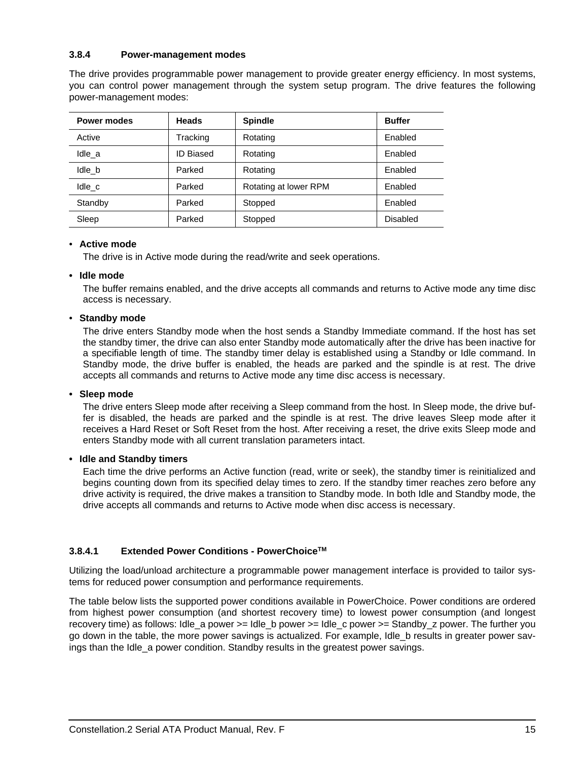### <span id="page-20-6"></span><span id="page-20-0"></span>**3.8.4 Power-management modes**

<span id="page-20-7"></span>The drive provides programmable power management to provide greater energy efficiency. In most systems, you can control power management through the system setup program. The drive features the following power-management modes:

<span id="page-20-5"></span><span id="page-20-3"></span><span id="page-20-1"></span>

| <b>Power modes</b> | <b>Heads</b>     | <b>Spindle</b>        | <b>Buffer</b>   |
|--------------------|------------------|-----------------------|-----------------|
| Active             | Tracking         | Rotating              | Enabled         |
| Idle a             | <b>ID Biased</b> | Rotating              | Enabled         |
| Idle b             | Parked           | Rotating              | Enabled         |
| Idle c             | Parked           | Rotating at lower RPM | Enabled         |
| Standby            | Parked           | Stopped               | Enabled         |
| Sleep              | Parked           | Stopped               | <b>Disabled</b> |

### <span id="page-20-10"></span><span id="page-20-8"></span><span id="page-20-2"></span>• **Active mode**

The drive is in Active mode during the read/write and seek operations.

### <span id="page-20-4"></span>**• Idle mode**

The buffer remains enabled, and the drive accepts all commands and returns to Active mode any time disc access is necessary.

### <span id="page-20-11"></span>• **Standby mode**

<span id="page-20-13"></span><span id="page-20-12"></span>The drive enters Standby mode when the host sends a Standby Immediate command. If the host has set the standby timer, the drive can also enter Standby mode automatically after the drive has been inactive for a specifiable length of time. The standby timer delay is established using a Standby or Idle command. In Standby mode, the drive buffer is enabled, the heads are parked and the spindle is at rest. The drive accepts all commands and returns to Active mode any time disc access is necessary.

### <span id="page-20-9"></span>**• Sleep mode**

The drive enters Sleep mode after receiving a Sleep command from the host. In Sleep mode, the drive buffer is disabled, the heads are parked and the spindle is at rest. The drive leaves Sleep mode after it receives a Hard Reset or Soft Reset from the host. After receiving a reset, the drive exits Sleep mode and enters Standby mode with all current translation parameters intact.

### **• Idle and Standby timers**

<span id="page-20-14"></span>Each time the drive performs an Active function (read, write or seek), the standby timer is reinitialized and begins counting down from its specified delay times to zero. If the standby timer reaches zero before any drive activity is required, the drive makes a transition to Standby mode. In both Idle and Standby mode, the drive accepts all commands and returns to Active mode when disc access is necessary.

### **3.8.4.1 Extended Power Conditions - PowerChoiceTM**

Utilizing the load/unload architecture a programmable power management interface is provided to tailor systems for reduced power consumption and performance requirements.

The table below lists the supported power conditions available in PowerChoice. Power conditions are ordered from highest power consumption (and shortest recovery time) to lowest power consumption (and longest recovery time) as follows: Idle a power  $>=$  Idle b power  $>=$  Idle c power  $>=$  Standby z power. The further you go down in the table, the more power savings is actualized. For example, Idle\_b results in greater power savings than the Idle\_a power condition. Standby results in the greatest power savings.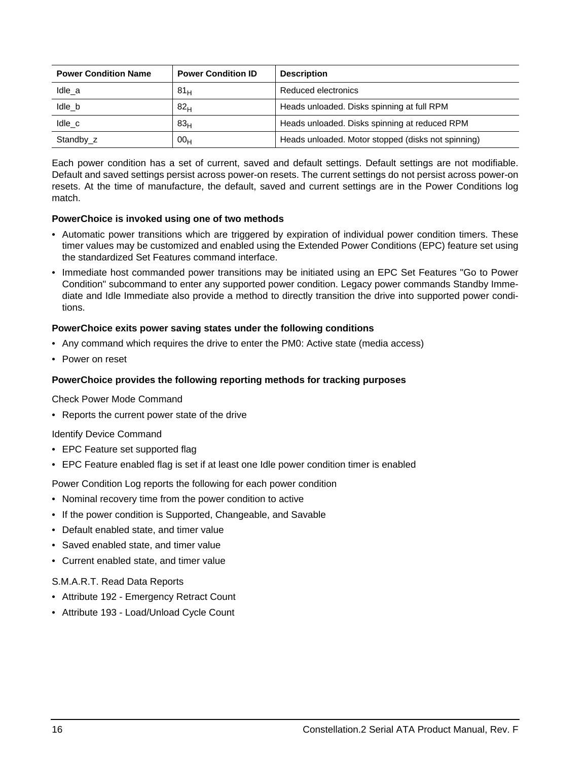| <b>Power Condition Name</b> | <b>Power Condition ID</b> | <b>Description</b>                                 |
|-----------------------------|---------------------------|----------------------------------------------------|
| Idle a                      | 81 <sub>H</sub>           | Reduced electronics                                |
| Idle b                      | 82 <sub>H</sub>           | Heads unloaded. Disks spinning at full RPM         |
| Idle c                      | 83 <sub>H</sub>           | Heads unloaded. Disks spinning at reduced RPM      |
| Standby_z                   | 00 <sub>H</sub>           | Heads unloaded. Motor stopped (disks not spinning) |

Each power condition has a set of current, saved and default settings. Default settings are not modifiable. Default and saved settings persist across power-on resets. The current settings do not persist across power-on resets. At the time of manufacture, the default, saved and current settings are in the Power Conditions log match.

### **PowerChoice is invoked using one of two methods**

- Automatic power transitions which are triggered by expiration of individual power condition timers. These timer values may be customized and enabled using the Extended Power Conditions (EPC) feature set using the standardized Set Features command interface.
- Immediate host commanded power transitions may be initiated using an EPC Set Features "Go to Power Condition" subcommand to enter any supported power condition. Legacy power commands Standby Immediate and Idle Immediate also provide a method to directly transition the drive into supported power conditions.

### **PowerChoice exits power saving states under the following conditions**

- Any command which requires the drive to enter the PM0: Active state (media access)
- Power on reset

### **PowerChoice provides the following reporting methods for tracking purposes**

Check Power Mode Command

• Reports the current power state of the drive

### Identify Device Command

- EPC Feature set supported flag
- EPC Feature enabled flag is set if at least one Idle power condition timer is enabled

Power Condition Log reports the following for each power condition

- Nominal recovery time from the power condition to active
- If the power condition is Supported, Changeable, and Savable
- Default enabled state, and timer value
- Saved enabled state, and timer value
- Current enabled state, and timer value

### S.M.A.R.T. Read Data Reports

- Attribute 192 Emergency Retract Count
- Attribute 193 Load/Unload Cycle Count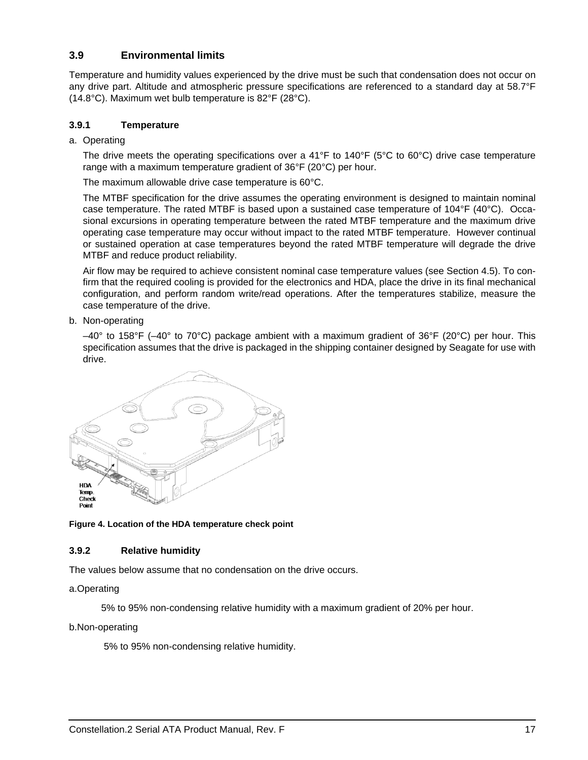### <span id="page-22-5"></span><span id="page-22-0"></span>**3.9 Environmental limits**

<span id="page-22-12"></span><span id="page-22-8"></span>Temperature and humidity values experienced by the drive must be such that condensation does not occur on any drive part. Altitude and atmospheric pressure specifications are referenced to a standard day at 58.7°F (14.8°C). Maximum wet bulb temperature is 82°F (28°C).

### <span id="page-22-11"></span><span id="page-22-1"></span>**3.9.1 Temperature**

a. Operating

The drive meets the operating specifications over a 41°F to 140°F (5°C to 60°C) drive case temperature range with a maximum temperature gradient of 36°F (20°C) per hour.

The maximum allowable drive case temperature is 60°C.

The MTBF specification for the drive assumes the operating environment is designed to maintain nominal case temperature. The rated MTBF is based upon a sustained case temperature of 104°F (40°C). Occasional excursions in operating temperature between the rated MTBF temperature and the maximum drive operating case temperature may occur without impact to the rated MTBF temperature. However continual or sustained operation at case temperatures beyond the rated MTBF temperature will degrade the drive MTBF and reduce product reliability.

Air flow may be required to achieve consistent nominal case temperature values (see [Section 4.5](#page-32-0)). To confirm that the required cooling is provided for the electronics and HDA, place the drive in its final mechanical configuration, and perform random write/read operations. After the temperatures stabilize, measure the case temperature of the drive.

<span id="page-22-9"></span>b. Non-operating

<span id="page-22-10"></span><span id="page-22-6"></span><span id="page-22-4"></span>–40° to 158°F (–40° to 70°C) package ambient with a maximum gradient of 36°F (20°C) per hour. This specification assumes that the drive is packaged in the shipping container designed by Seagate for use with drive.



### <span id="page-22-3"></span>**Figure 4. Location of the HDA temperature check point**

### <span id="page-22-7"></span><span id="page-22-2"></span>**3.9.2 Relative humidity**

The values below assume that no condensation on the drive occurs.

### a.Operating

5% to 95% non-condensing relative humidity with a maximum gradient of 20% per hour.

b.Non-operating

5% to 95% non-condensing relative humidity.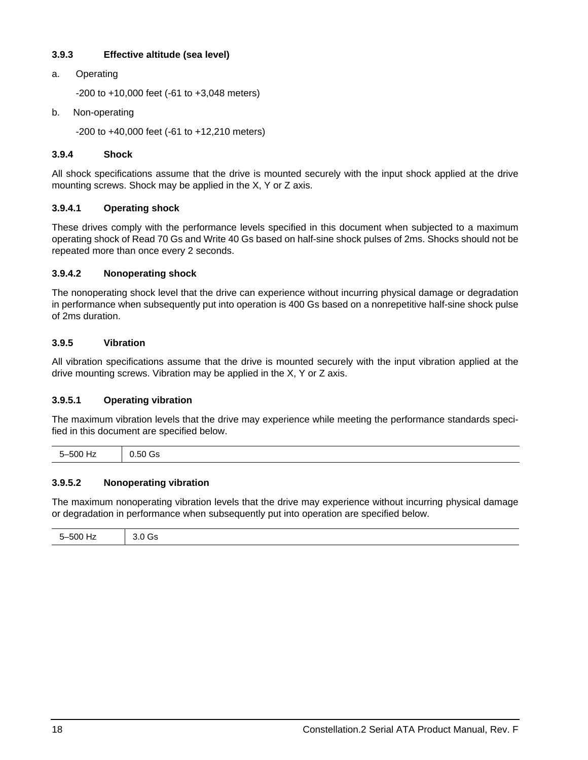### <span id="page-23-4"></span><span id="page-23-0"></span>**3.9.3 Effective altitude (sea level)**

a. Operating

-200 to +10,000 feet (-61 to +3,048 meters)

b. Non-operating

<span id="page-23-12"></span>-200 to +40,000 feet (-61 to +12,210 meters)

### <span id="page-23-1"></span>**3.9.4 Shock**

<span id="page-23-11"></span><span id="page-23-6"></span>All shock specifications assume that the drive is mounted securely with the input shock applied at the drive mounting screws. Shock may be applied in the X, Y or Z axis.

### <span id="page-23-9"></span>**3.9.4.1 Operating shock**

These drives comply with the performance levels specified in this document when subjected to a maximum operating shock of Read 70 Gs and Write 40 Gs based on half-sine shock pulses of 2ms. Shocks should not be repeated more than once every 2 seconds.

### <span id="page-23-7"></span>**3.9.4.2 Nonoperating shock**

The nonoperating shock level that the drive can experience without incurring physical damage or degradation in performance when subsequently put into operation is 400 Gs based on a nonrepetitive half-sine shock pulse of 2ms duration.

### <span id="page-23-13"></span><span id="page-23-2"></span>**3.9.5 Vibration**

All vibration specifications assume that the drive is mounted securely with the input vibration applied at the drive mounting screws. Vibration may be applied in the X, Y or Z axis.

### <span id="page-23-10"></span>**3.9.5.1 Operating vibration**

The maximum vibration levels that the drive may experience while meeting the performance standards specified in this document are specified below.

| $\overline{\phantom{0}}$<br>$F^{\wedge}$<br>. 31 H F<br>$   -$<br>$\sim$ | יור<br>. <del>.</del> |
|--------------------------------------------------------------------------|-----------------------|
|                                                                          |                       |

### <span id="page-23-8"></span>**3.9.5.2 Nonoperating vibration**

The maximum nonoperating vibration levels that the drive may experience without incurring physical damage or degradation in performance when subsequently put into operation are specified below.

<span id="page-23-5"></span><span id="page-23-3"></span>

| $\overline{\phantom{0}}$<br>r o o<br>.<br>$   -$ |  |
|--------------------------------------------------|--|
|--------------------------------------------------|--|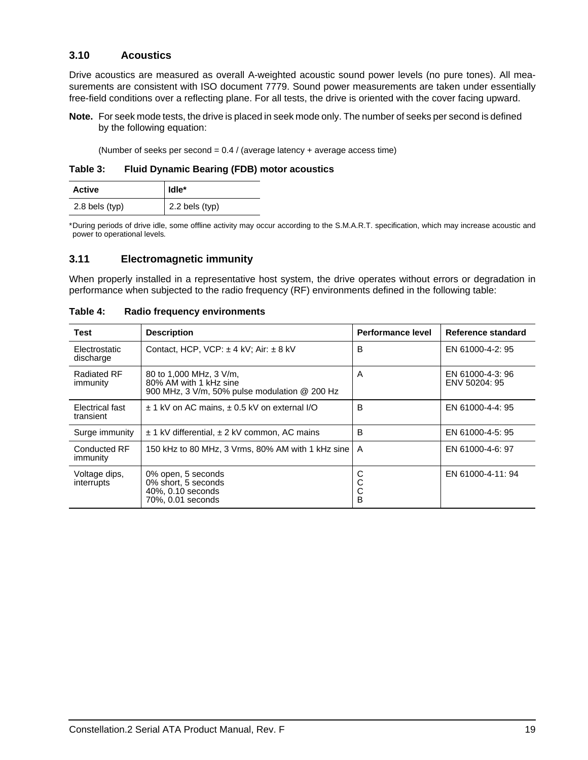### <span id="page-24-2"></span><span id="page-24-0"></span>**3.10 Acoustics**

Drive acoustics are measured as overall A-weighted acoustic sound power levels (no pure tones). All measurements are consistent with ISO document 7779. Sound power measurements are taken under essentially free-field conditions over a reflecting plane. For all tests, the drive is oriented with the cover facing upward.

**Note.** For seek mode tests, the drive is placed in seek mode only. The number of seeks per second is defined by the following equation:

<span id="page-24-11"></span><span id="page-24-7"></span>(Number of seeks per second =  $0.4$  / (average latency + average access time)

**Table 3: Fluid Dynamic Bearing (FDB) motor acoustics**

| <b>Active</b>    | l Idle*        |
|------------------|----------------|
| $2.8$ bels (typ) | 2.2 bels (typ) |

\*During periods of drive idle, some offline activity may occur according to the S.M.A.R.T. specification, which may increase acoustic and power to operational levels*.*

### <span id="page-24-5"></span><span id="page-24-1"></span>**3.11 Electromagnetic immunity**

<span id="page-24-10"></span><span id="page-24-9"></span>When properly installed in a representative host system, the drive operates without errors or degradation in performance when subjected to the radio frequency (RF) environments defined in the following table:

<span id="page-24-13"></span><span id="page-24-12"></span><span id="page-24-8"></span><span id="page-24-6"></span><span id="page-24-4"></span><span id="page-24-3"></span>

| Test                           | <b>Description</b>                                                                                 | Performance level | Reference standard                |
|--------------------------------|----------------------------------------------------------------------------------------------------|-------------------|-----------------------------------|
| Electrostatic<br>discharge     | Contact, HCP, VCP: $\pm$ 4 kV; Air: $\pm$ 8 kV                                                     | В                 | EN 61000-4-2: 95                  |
| <b>Radiated RF</b><br>immunity | 80 to 1,000 MHz, 3 V/m,<br>80% AM with 1 kHz sine<br>900 MHz, 3 V/m, 50% pulse modulation @ 200 Hz | A                 | EN 61000-4-3: 96<br>ENV 50204: 95 |
| Electrical fast<br>transient   | $\pm$ 1 kV on AC mains, $\pm$ 0.5 kV on external I/O                                               | B                 | EN 61000-4-4: 95                  |
| Surge immunity                 | $\pm$ 1 kV differential, $\pm$ 2 kV common, AC mains                                               | B                 | EN 61000-4-5: 95                  |
| Conducted RF<br>immunity       | 150 kHz to 80 MHz, 3 Vrms, 80% AM with 1 kHz sine                                                  | A                 | EN 61000-4-6: 97                  |
| Voltage dips,<br>interrupts    | 0% open, 5 seconds<br>0% short, 5 seconds<br>40%, 0.10 seconds<br>70%, 0.01 seconds                | С<br>C<br>C<br>B  | EN 61000-4-11: 94                 |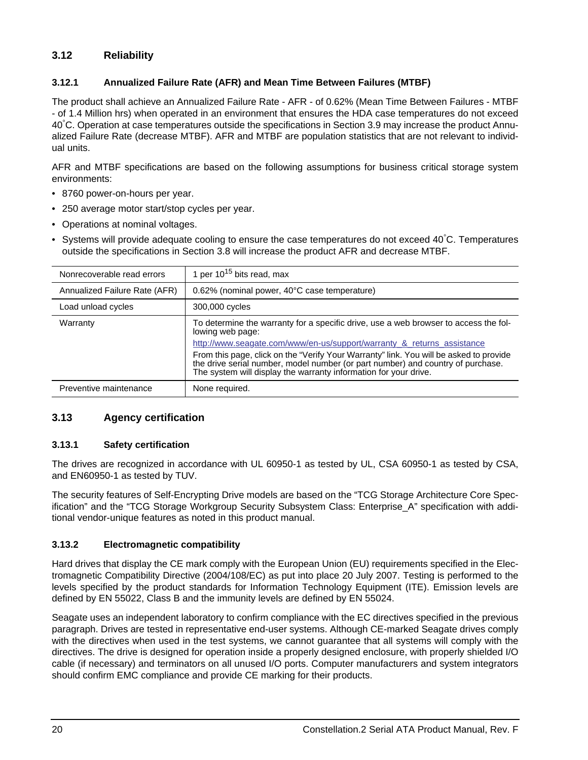### <span id="page-25-22"></span><span id="page-25-0"></span>**3.12 Reliability**

### <span id="page-25-1"></span>**3.12.1 Annualized Failure Rate (AFR) and Mean Time Between Failures (MTBF)**

The product shall achieve an Annualized Failure Rate - AFR - of 0.62% (Mean Time Between Failures - MTBF - of 1.4 Million hrs) when operated in an environment that ensures the HDA case temperatures do not exceed 40° C. Operation at case temperatures outside the specifications in [Section 3.9](#page-22-0) may increase the product Annualized Failure Rate (decrease MTBF). AFR and MTBF are population statistics that are not relevant to individual units.

AFR and MTBF specifications are based on the following assumptions for business critical storage system environments:

- 8760 power-on-hours per year.
- 250 average motor start/stop cycles per year.
- Operations at nominal voltages.
- Systems will provide adequate cooling to ensure the case temperatures do not exceed 40° C. Temperatures outside the specifications in [Section 3.8](#page-14-1) will increase the product AFR and decrease MTBF.

<span id="page-25-21"></span><span id="page-25-20"></span><span id="page-25-14"></span><span id="page-25-6"></span>

| Nonrecoverable read errors    | 1 per $10^{15}$ bits read, max                                                                                                                                                                                                                                                                                                                                                                                                      |
|-------------------------------|-------------------------------------------------------------------------------------------------------------------------------------------------------------------------------------------------------------------------------------------------------------------------------------------------------------------------------------------------------------------------------------------------------------------------------------|
| Annualized Failure Rate (AFR) | 0.62% (nominal power, 40°C case temperature)                                                                                                                                                                                                                                                                                                                                                                                        |
| Load unload cycles            | 300,000 cycles                                                                                                                                                                                                                                                                                                                                                                                                                      |
| Warranty                      | To determine the warranty for a specific drive, use a web browser to access the fol-<br>lowing web page:<br>http://www.seagate.com/www/en-us/support/warranty & returns assistance<br>From this page, click on the "Verify Your Warranty" link. You will be asked to provide<br>the drive serial number, model number (or part number) and country of purchase.<br>The system will display the warranty information for your drive. |
| Preventive maintenance        | None required.                                                                                                                                                                                                                                                                                                                                                                                                                      |

### <span id="page-25-19"></span><span id="page-25-8"></span><span id="page-25-5"></span><span id="page-25-2"></span>**3.13 Agency certification**

### <span id="page-25-23"></span><span id="page-25-3"></span>**3.13.1 Safety certification**

The drives are recognized in accordance with UL 60950-1 as tested by UL, CSA 60950-1 as tested by CSA, and EN60950-1 as tested by TUV.

The security features of Self-Encrypting Drive models are based on the "TCG Storage Architecture Core Specification" and the "TCG Storage Workgroup Security Subsystem Class: Enterprise\_A" specification with additional vendor-unique features as noted in this product manual.

### <span id="page-25-10"></span><span id="page-25-9"></span><span id="page-25-4"></span>**3.13.2 Electromagnetic compatibility**

<span id="page-25-18"></span><span id="page-25-17"></span><span id="page-25-16"></span><span id="page-25-15"></span><span id="page-25-13"></span><span id="page-25-12"></span><span id="page-25-11"></span><span id="page-25-7"></span>Hard drives that display the CE mark comply with the European Union (EU) requirements specified in the Electromagnetic Compatibility Directive (2004/108/EC) as put into place 20 July 2007. Testing is performed to the levels specified by the product standards for Information Technology Equipment (ITE). Emission levels are defined by EN 55022, Class B and the immunity levels are defined by EN 55024.

Seagate uses an independent laboratory to confirm compliance with the EC directives specified in the previous paragraph. Drives are tested in representative end-user systems. Although CE-marked Seagate drives comply with the directives when used in the test systems, we cannot guarantee that all systems will comply with the directives. The drive is designed for operation inside a properly designed enclosure, with properly shielded I/O cable (if necessary) and terminators on all unused I/O ports. Computer manufacturers and system integrators should confirm EMC compliance and provide CE marking for their products.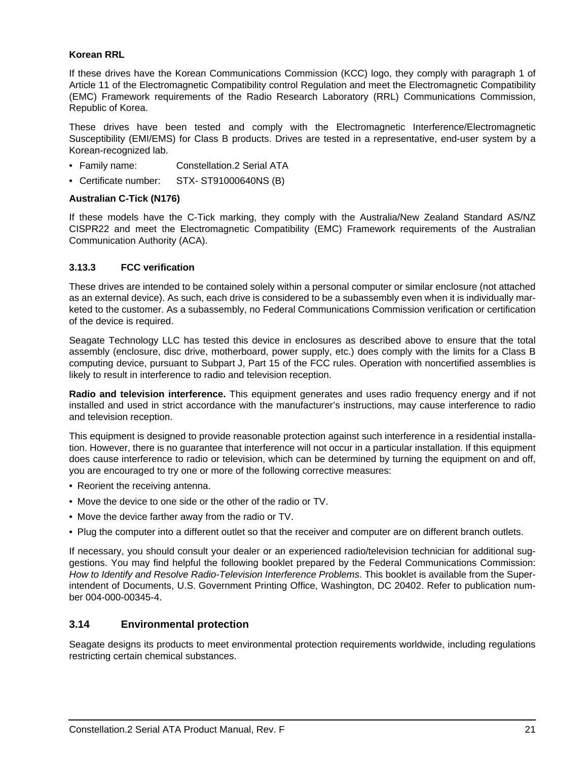### <span id="page-26-15"></span><span id="page-26-13"></span>**Korean RRL**

<span id="page-26-12"></span><span id="page-26-11"></span><span id="page-26-8"></span><span id="page-26-7"></span>If these drives have the Korean Communications Commission (KCC) logo, they comply with paragraph 1 of Article 11 of the Electromagnetic Compatibility control Regulation and meet the Electromagnetic Compatibility (EMC) Framework requirements of the Radio Research Laboratory (RRL) Communications Commission, Republic of Korea.

These drives have been tested and comply with the Electromagnetic Interference/Electromagnetic Susceptibility (EMI/EMS) for Class B products. Drives are tested in a representative, end-user system by a Korean-recognized lab.

- Family name: Constellation.2 Serial ATA
- Certificate number: STX- ST91000640NS (B)

### <span id="page-26-5"></span>**Australian C-Tick (N176)**

<span id="page-26-4"></span><span id="page-26-3"></span><span id="page-26-2"></span>If these models have the C-Tick marking, they comply with the Australia/New Zealand Standard AS/NZ CISPR22 and meet the Electromagnetic Compatibility (EMC) Framework requirements of the Australian Communication Authority (ACA).

### <span id="page-26-9"></span><span id="page-26-0"></span>**3.13.3 FCC verification**

<span id="page-26-10"></span>These drives are intended to be contained solely within a personal computer or similar enclosure (not attached as an external device). As such, each drive is considered to be a subassembly even when it is individually marketed to the customer. As a subassembly, no Federal Communications Commission verification or certification of the device is required.

<span id="page-26-6"></span>Seagate Technology LLC has tested this device in enclosures as described above to ensure that the total assembly (enclosure, disc drive, motherboard, power supply, etc.) does comply with the limits for a Class B computing device, pursuant to Subpart J, Part 15 of the FCC rules. Operation with noncertified assemblies is likely to result in interference to radio and television reception.

<span id="page-26-14"></span>**Radio and television interference.** This equipment generates and uses radio frequency energy and if not installed and used in strict accordance with the manufacturer's instructions, may cause interference to radio and television reception.

This equipment is designed to provide reasonable protection against such interference in a residential installation. However, there is no guarantee that interference will not occur in a particular installation. If this equipment does cause interference to radio or television, which can be determined by turning the equipment on and off, you are encouraged to try one or more of the following corrective measures:

- Reorient the receiving antenna.
- Move the device to one side or the other of the radio or TV.
- Move the device farther away from the radio or TV.
- Plug the computer into a different outlet so that the receiver and computer are on different branch outlets.

If necessary, you should consult your dealer or an experienced radio/television technician for additional suggestions. You may find helpful the following booklet prepared by the Federal Communications Commission: *How to Identify and Resolve Radio-Television Interference Problems*. This booklet is available from the Superintendent of Documents, U.S. Government Printing Office, Washington, DC 20402. Refer to publication number 004-000-00345-4.

### <span id="page-26-1"></span>**3.14 Environmental protection**

Seagate designs its products to meet environmental protection requirements worldwide, including regulations restricting certain chemical substances.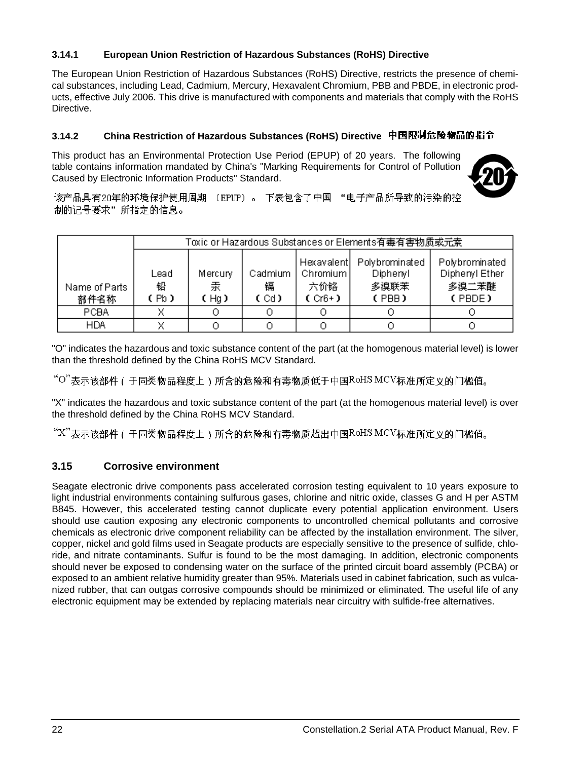### <span id="page-27-5"></span><span id="page-27-0"></span>**3.14.1 European Union Restriction of Hazardous Substances (RoHS) Directive**

The European Union Restriction of Hazardous Substances (RoHS) Directive, restricts the presence of chemical substances, including Lead, Cadmium, Mercury, Hexavalent Chromium, PBB and PBDE, in electronic products, effective July 2006. This drive is manufactured with components and materials that comply with the RoHS Directive.

### <span id="page-27-3"></span><span id="page-27-1"></span>**3.14.2 China Restriction of Hazardous Substances (RoHS) Directive**

This product has an Environmental Protection Use Period (EPUP) of 20 years. The following table contains information mandated by China's "Marking Requirements for Control of Pollution Caused by Electronic Information Products" Standard.

<span id="page-27-6"></span>

该产品具有20年的环境保护使用周期 (EPUP)。 下表包含了中国 "电子产品所导致的污染的控 制的记号要求"所指定的信息。

|                       |                   |                      |                      |                                             | Toxic or Hazardous Substances or Elements有毒有害物质或元素 |                                                     |
|-----------------------|-------------------|----------------------|----------------------|---------------------------------------------|----------------------------------------------------|-----------------------------------------------------|
| Name of Parts<br>部件名称 | Lead<br>铅<br>(Pb) | Mercury<br>汞<br>(Hq) | Cadmium<br>镉<br>(Cd) | Hexavalent<br>Chromium  <br>六价铬<br>$(Cr6+)$ | Polybrominated<br>Diphenyl<br>多溴联苯<br>(PBB)        | Polybrominated<br>Diphenyl Ether<br>多溴二苯醚<br>(PBDE) |
| <b>PCBA</b>           |                   |                      |                      |                                             |                                                    |                                                     |
| <b>HDA</b>            |                   |                      |                      |                                             |                                                    |                                                     |

"O" indicates the hazardous and toxic substance content of the part (at the homogenous material level) is lower than the threshold defined by the China RoHS MCV Standard.

"O"表示该部件(于同类物品程度上)所含的危险和有毒物质低于中国RoHSMCV标准所定义的门槛值。

"X" indicates the hazardous and toxic substance content of the part (at the homogenous material level) is over the threshold defined by the China RoHS MCV Standard.

 $\lq^{\omega}$ "表示该部件(于同类物品程度上)所含的危险和有毒物质超出中国RoHSMCV标准所定义的门槛值。

### <span id="page-27-4"></span><span id="page-27-2"></span>**3.15 Corrosive environment**

Seagate electronic drive components pass accelerated corrosion testing equivalent to 10 years exposure to light industrial environments containing sulfurous gases, chlorine and nitric oxide, classes G and H per ASTM B845. However, this accelerated testing cannot duplicate every potential application environment. Users should use caution exposing any electronic components to uncontrolled chemical pollutants and corrosive chemicals as electronic drive component reliability can be affected by the installation environment. The silver, copper, nickel and gold films used in Seagate products are especially sensitive to the presence of sulfide, chloride, and nitrate contaminants. Sulfur is found to be the most damaging. In addition, electronic components should never be exposed to condensing water on the surface of the printed circuit board assembly (PCBA) or exposed to an ambient relative humidity greater than 95%. Materials used in cabinet fabrication, such as vulcanized rubber, that can outgas corrosive compounds should be minimized or eliminated. The useful life of any electronic equipment may be extended by replacing materials near circuitry with sulfide-free alternatives.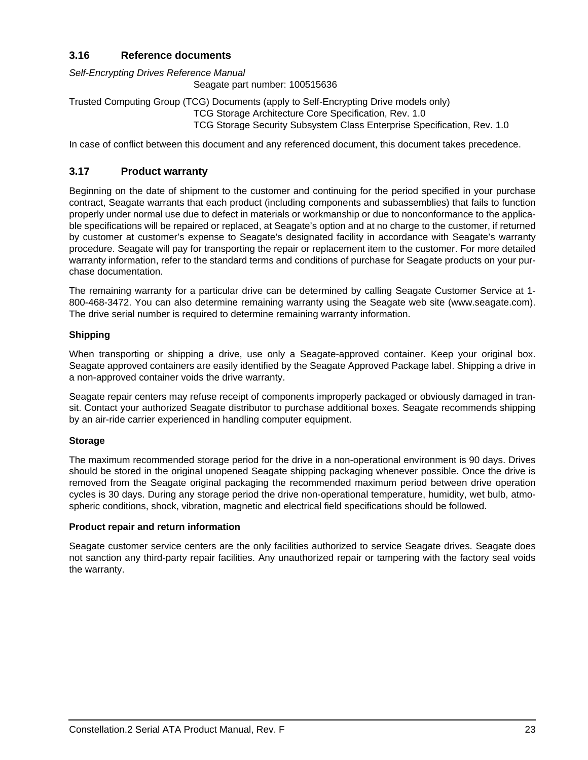### <span id="page-28-3"></span><span id="page-28-0"></span>**3.16 Reference documents**

*Self-Encrypting Drives Reference Manual*

Seagate part number: 100515636

Trusted Computing Group (TCG) Documents (apply to Self-Encrypting Drive models only) TCG Storage Architecture Core Specification, Rev. 1.0 TCG Storage Security Subsystem Class Enterprise Specification, Rev. 1.0

In case of conflict between this document and any referenced document, this document takes precedence.

### <span id="page-28-2"></span><span id="page-28-1"></span>**3.17 Product warranty**

Beginning on the date of shipment to the customer and continuing for the period specified in your purchase contract, Seagate warrants that each product (including components and subassemblies) that fails to function properly under normal use due to defect in materials or workmanship or due to nonconformance to the applicable specifications will be repaired or replaced, at Seagate's option and at no charge to the customer, if returned by customer at customer's expense to Seagate's designated facility in accordance with Seagate's warranty procedure. Seagate will pay for transporting the repair or replacement item to the customer. For more detailed warranty information, refer to the standard terms and conditions of purchase for Seagate products on your purchase documentation.

The remaining warranty for a particular drive can be determined by calling Seagate Customer Service at 1- 800-468-3472. You can also determine remaining warranty using the Seagate web site (www.seagate.com). The drive serial number is required to determine remaining warranty information.

### **Shipping**

When transporting or shipping a drive, use only a Seagate-approved container. Keep your original box. Seagate approved containers are easily identified by the Seagate Approved Package label. Shipping a drive in a non-approved container voids the drive warranty.

Seagate repair centers may refuse receipt of components improperly packaged or obviously damaged in transit. Contact your authorized Seagate distributor to purchase additional boxes. Seagate recommends shipping by an air-ride carrier experienced in handling computer equipment.

### **Storage**

The maximum recommended storage period for the drive in a non-operational environment is 90 days. Drives should be stored in the original unopened Seagate shipping packaging whenever possible. Once the drive is removed from the Seagate original packaging the recommended maximum period between drive operation cycles is 30 days. During any storage period the drive non-operational temperature, humidity, wet bulb, atmospheric conditions, shock, vibration, magnetic and electrical field specifications should be followed.

### **Product repair and return information**

Seagate customer service centers are the only facilities authorized to service Seagate drives. Seagate does not sanction any third-party repair facilities. Any unauthorized repair or tampering with the factory seal voids the warranty.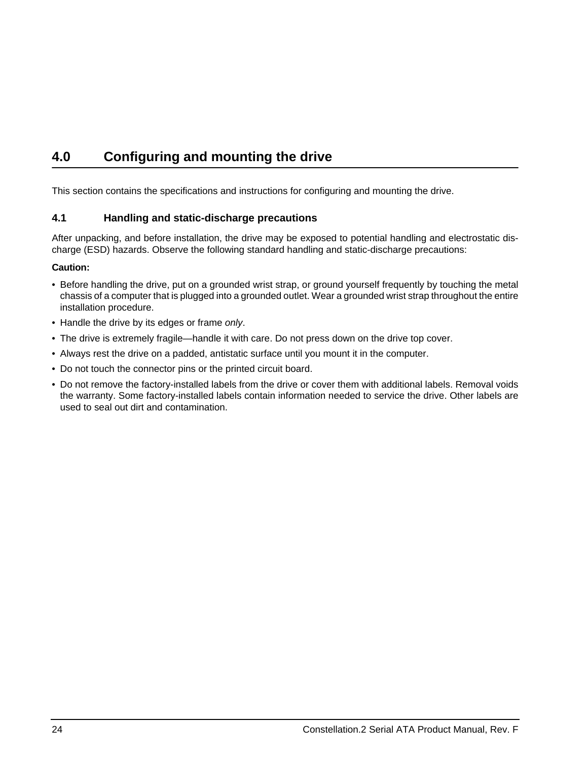# <span id="page-29-6"></span><span id="page-29-2"></span><span id="page-29-0"></span>**4.0 Configuring and mounting the drive**

This section contains the specifications and instructions for configuring and mounting the drive.

### <span id="page-29-9"></span><span id="page-29-7"></span><span id="page-29-5"></span><span id="page-29-1"></span>**4.1 Handling and static-discharge precautions**

<span id="page-29-4"></span><span id="page-29-3"></span>After unpacking, and before installation, the drive may be exposed to potential handling and electrostatic discharge (ESD) hazards. Observe the following standard handling and static-discharge precautions:

### **Caution:**

- Before handling the drive, put on a grounded wrist strap, or ground yourself frequently by touching the metal chassis of a computer that is plugged into a grounded outlet. Wear a grounded wrist strap throughout the entire installation procedure.
- Handle the drive by its edges or frame *only*.
- The drive is extremely fragile—handle it with care. Do not press down on the drive top cover.
- Always rest the drive on a padded, antistatic surface until you mount it in the computer.
- <span id="page-29-8"></span>• Do not touch the connector pins or the printed circuit board.
- Do not remove the factory-installed labels from the drive or cover them with additional labels. Removal voids the warranty. Some factory-installed labels contain information needed to service the drive. Other labels are used to seal out dirt and contamination.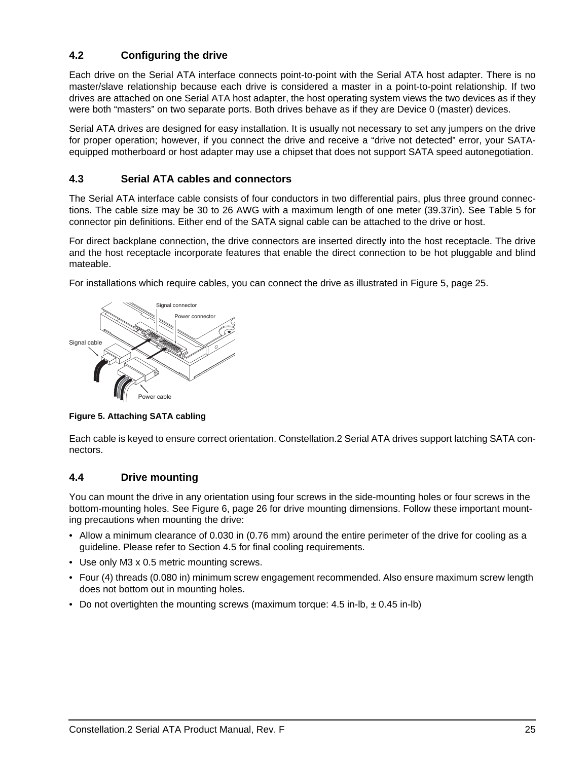### <span id="page-30-0"></span>**4.2 Configuring the drive**

<span id="page-30-7"></span>Each drive on the Serial ATA interface connects point-to-point with the Serial ATA host adapter. There is no master/slave relationship because each drive is considered a master in a point-to-point relationship. If two drives are attached on one Serial ATA host adapter, the host operating system views the two devices as if they were both "masters" on two separate ports. Both drives behave as if they are Device 0 (master) devices.

Serial ATA drives are designed for easy installation. It is usually not necessary to set any jumpers on the drive for proper operation; however, if you connect the drive and receive a "drive not detected" error, your SATAequipped motherboard or host adapter may use a chipset that does not support SATA speed autonegotiation.

### <span id="page-30-5"></span><span id="page-30-4"></span><span id="page-30-1"></span>**4.3 Serial ATA cables and connectors**

The Serial ATA interface cable consists of four conductors in two differential pairs, plus three ground connections. The cable size may be 30 to 26 AWG with a maximum length of one meter (39.37in). See Table 5 for connector pin definitions. Either end of the SATA signal cable can be attached to the drive or host.

For direct backplane connection, the drive connectors are inserted directly into the host receptacle. The drive and the host receptacle incorporate features that enable the direct connection to be hot pluggable and blind mateable.

For installations which require cables, you can connect the drive as illustrated in [Figure 5, page 25](#page-30-3).



<span id="page-30-3"></span>**Figure 5. Attaching SATA cabling**

Each cable is keyed to ensure correct orientation. Constellation.2 Serial ATA drives support latching SATA connectors.

### <span id="page-30-6"></span><span id="page-30-2"></span>**4.4 Drive mounting**

You can mount the drive in any orientation using four screws in the side-mounting holes or four screws in the bottom-mounting holes. See [Figure 6, page 26](#page-31-1) for drive mounting dimensions. Follow these important mounting precautions when mounting the drive:

- Allow a minimum clearance of 0.030 in (0.76 mm) around the entire perimeter of the drive for cooling as a guideline. Please refer to [Section 4.5](#page-32-0) for final cooling requirements.
- Use only M3 x 0.5 metric mounting screws.
- Four (4) threads (0.080 in) minimum screw engagement recommended. Also ensure maximum screw length does not bottom out in mounting holes.
- Do not overtighten the mounting screws (maximum torque:  $4.5$  in-lb,  $\pm$  0.45 in-lb)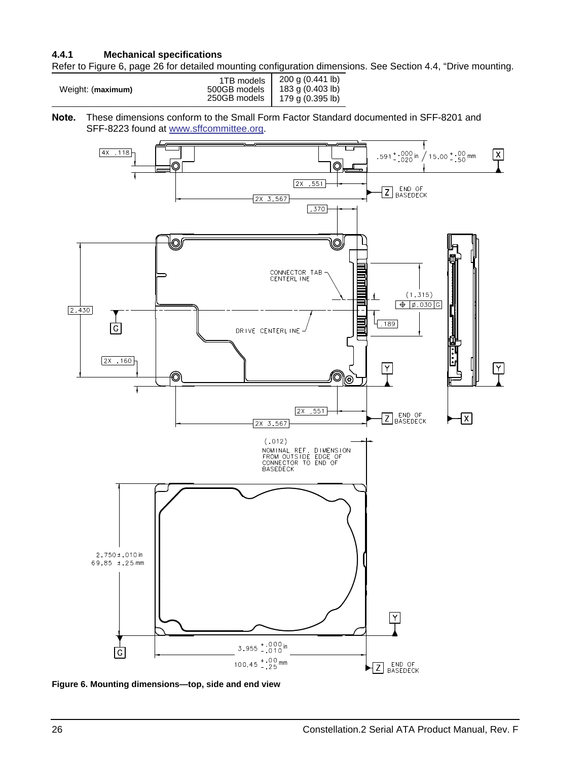### <span id="page-31-0"></span>**4.4.1 Mechanical specifications**

Refer to [Figure 6, page 26](#page-31-1) for detailed mounting configuration dimensions. See Section [4.4](#page-30-2), "Drive mounting.

<span id="page-31-5"></span><span id="page-31-4"></span><span id="page-31-3"></span><span id="page-31-2"></span>

| Weight: (maximum) | 1TB models<br>500GB models | 200 g (0.441 lb)<br>183 g (0.403 lb) |
|-------------------|----------------------------|--------------------------------------|
|                   | 250GB models               | 179 g (0.395 lb)                     |

**Note.** These dimensions conform to the Small Form Factor Standard documented in SFF-8201 and SFF-8223 found at [www.sffcommittee.org](http://www.sffcommittee.org/).



<span id="page-31-1"></span>**Figure 6. Mounting dimensions—top, side and end view**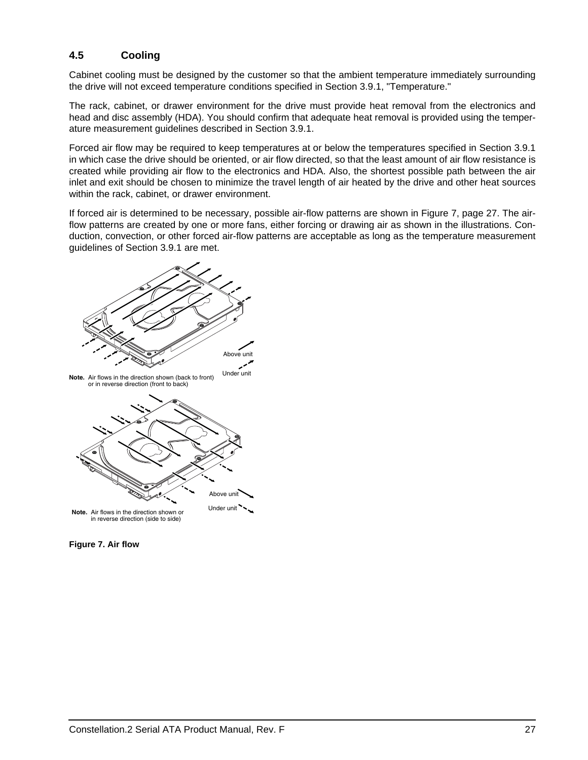### <span id="page-32-0"></span>**4.5 Cooling**

Cabinet cooling must be designed by the customer so that the ambient temperature immediately surrounding the drive will not exceed temperature conditions specified in [Section 3.9.1, "Temperature."](#page-22-1)

The rack, cabinet, or drawer environment for the drive must provide heat removal from the electronics and head and disc assembly (HDA). You should confirm that adequate heat removal is provided using the temperature measurement guidelines described in [Section 3.9.1](#page-22-1).

Forced air flow may be required to keep temperatures at or below the temperatures specified in [Section 3.9.1](#page-22-1)  in which case the drive should be oriented, or air flow directed, so that the least amount of air flow resistance is created while providing air flow to the electronics and HDA. Also, the shortest possible path between the air inlet and exit should be chosen to minimize the travel length of air heated by the drive and other heat sources within the rack, cabinet, or drawer environment.

If forced air is determined to be necessary, possible air-flow patterns are shown in [Figure 7, page 27.](#page-32-1) The airflow patterns are created by one or more fans, either forcing or drawing air as shown in the illustrations. Conduction, convection, or other forced air-flow patterns are acceptable as long as the temperature measurement guidelines of [Section 3.9.1](#page-22-1) are met.



<span id="page-32-1"></span>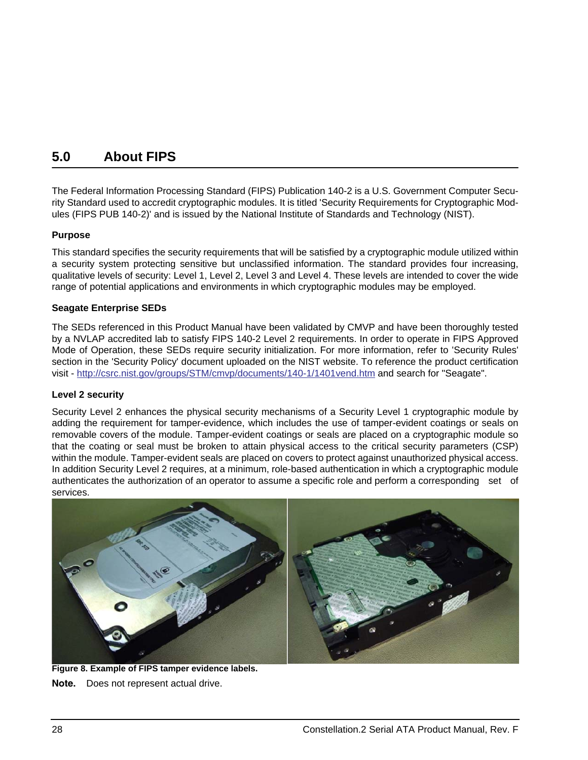# <span id="page-33-2"></span><span id="page-33-0"></span>**5.0 About FIPS**

The Federal Information Processing Standard (FIPS) Publication 140-2 is a U.S. Government Computer Security Standard used to accredit cryptographic modules. It is titled 'Security Requirements for Cryptographic Modules (FIPS PUB 140-2)' and is issued by the National Institute of Standards and Technology (NIST).

### **Purpose**

This standard specifies the security requirements that will be satisfied by a cryptographic module utilized within a security system protecting sensitive but unclassified information. The standard provides four increasing, qualitative levels of security: Level 1, Level 2, Level 3 and Level 4. These levels are intended to cover the wide range of potential applications and environments in which cryptographic modules may be employed.

### **Seagate Enterprise SEDs**

[The SEDs referenced in this Product Manual have been validated by CMVP and have been thoroughly tested](http://csrc.nist.gov/groups/STM/cmvp/documents/140-1/1401vend.htm)  [by a NVLAP accredited lab to satisfy FIPS 140-2 Level 2 requirements. In order to operate in FIPS Approved](http://csrc.nist.gov/groups/STM/cmvp/documents/140-1/1401vend.htm)  Mode of Operation, these SEDs require security initialization. For more information, refer to 'Security Rules' section in the 'Security Policy' document uploaded on the NIST website. To reference the product certification [visit -](http://csrc.nist.gov/groups/STM/cmvp/documents/140-1/1401vend.htm) http://csrc.nist.gov/groups/STM/cmvp/documents/140-1/1401vend.htm and search for "Seagate".

### **Level 2 security**

Security Level 2 enhances the physical security mechanisms of a Security Level 1 cryptographic module by adding the requirement for tamper-evidence, which includes the use of tamper-evident coatings or seals on removable covers of the module. Tamper-evident coatings or seals are placed on a cryptographic module so that the coating or seal must be broken to attain physical access to the critical security parameters (CSP) within the module. Tamper-evident seals are placed on covers to protect against unauthorized physical access. In addition Security Level 2 requires, at a minimum, role-based authentication in which a cryptographic module authenticates the authorization of an operator to assume a specific role and perform a corresponding set of services.

<span id="page-33-1"></span>

**Figure 8. Example of FIPS tamper evidence labels. Note.** Does not represent actual drive.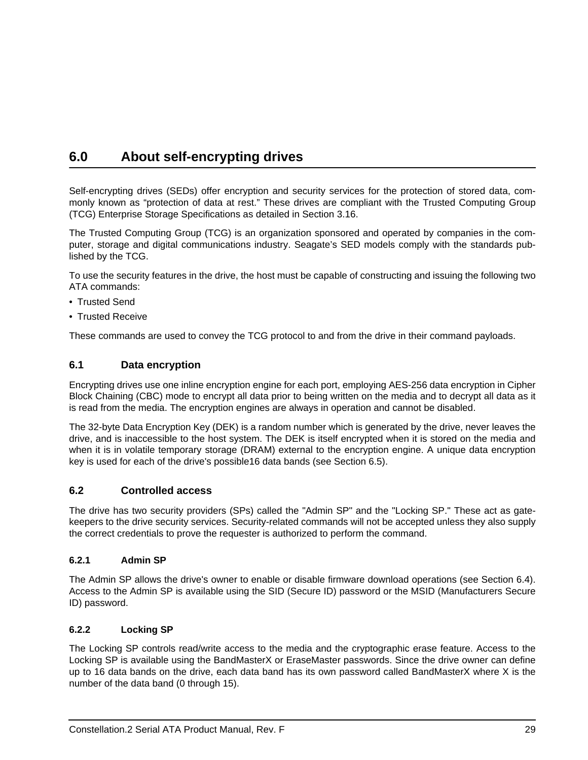# <span id="page-34-25"></span><span id="page-34-0"></span>**6.0 About self-encrypting drives**

<span id="page-34-28"></span><span id="page-34-27"></span><span id="page-34-22"></span>Self-encrypting drives (SEDs) offer encryption and security services for the protection of stored data, commonly known as "protection of data at rest." These drives are compliant with the Trusted Computing Group (TCG) Enterprise Storage Specifications as detailed in [Section 3.16](#page-28-0).

The Trusted Computing Group (TCG) is an organization sponsored and operated by companies in the computer, storage and digital communications industry. Seagate's SED models comply with the standards published by the TCG.

To use the security features in the drive, the host must be capable of constructing and issuing the following two ATA commands:

- <span id="page-34-30"></span>• Trusted Send
- <span id="page-34-29"></span>• Trusted Receive

These commands are used to convey the TCG protocol to and from the drive in their command payloads.

### <span id="page-34-11"></span><span id="page-34-1"></span>**6.1 Data encryption**

<span id="page-34-15"></span><span id="page-34-13"></span><span id="page-34-9"></span><span id="page-34-8"></span><span id="page-34-6"></span>Encrypting drives use one inline encryption engine for each port, employing AES-256 data encryption in Cipher Block Chaining (CBC) mode to encrypt all data prior to being written on the media and to decrypt all data as it is read from the media. The encryption engines are always in operation and cannot be disabled.

<span id="page-34-14"></span><span id="page-34-12"></span><span id="page-34-10"></span>The 32-byte Data Encryption Key (DEK) is a random number which is generated by the drive, never leaves the drive, and is inaccessible to the host system. The DEK is itself encrypted when it is stored on the media and when it is in volatile temporary storage (DRAM) external to the encryption engine. A unique data encryption key is used for each of the drive's possible16 data bands (see [Section 6.5\)](#page-35-3).

### <span id="page-34-2"></span>**6.2 Controlled access**

<span id="page-34-24"></span><span id="page-34-17"></span><span id="page-34-5"></span>The drive has two security providers (SPs) called the "Admin SP" and the "Locking SP." These act as gatekeepers to the drive security services. Security-related commands will not be accepted unless they also supply the correct credentials to prove the requester is authorized to perform the command.

### <span id="page-34-3"></span>**6.2.1 Admin SP**

<span id="page-34-26"></span><span id="page-34-23"></span><span id="page-34-20"></span><span id="page-34-19"></span><span id="page-34-18"></span>The Admin SP allows the drive's owner to enable or disable firmware download operations (see [Section 6.4\)](#page-35-2). Access to the Admin SP is available using the SID (Secure ID) password or the MSID (Manufacturers Secure ID) password.

### <span id="page-34-4"></span>**6.2.2 Locking SP**

<span id="page-34-21"></span><span id="page-34-16"></span><span id="page-34-7"></span>The Locking SP controls read/write access to the media and the cryptographic erase feature. Access to the Locking SP is available using the BandMasterX or EraseMaster passwords. Since the drive owner can define up to 16 data bands on the drive, each data band has its own password called BandMasterX where X is the number of the data band (0 through 15).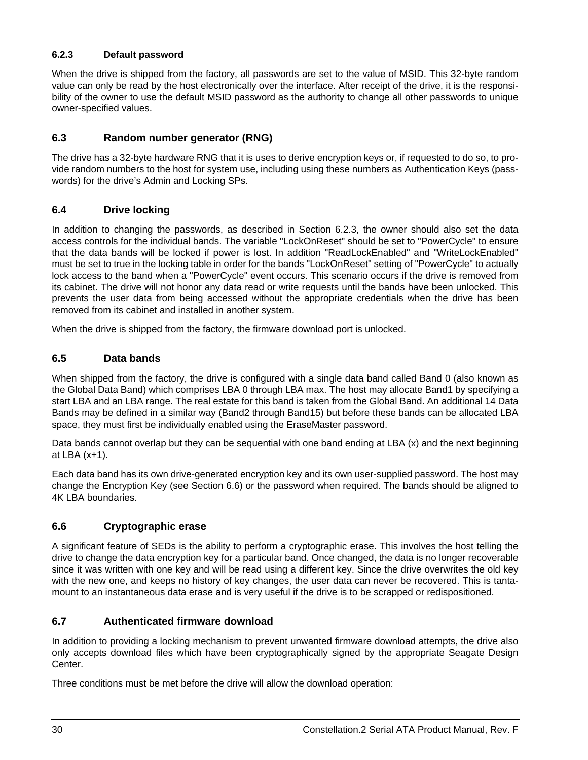### <span id="page-35-16"></span><span id="page-35-0"></span>**6.2.3 Default password**

<span id="page-35-15"></span><span id="page-35-9"></span>When the drive is shipped from the factory, all passwords are set to the value of MSID. This 32-byte random value can only be read by the host electronically over the interface. After receipt of the drive, it is the responsibility of the owner to use the default MSID password as the authority to change all other passwords to unique owner-specified values.

### <span id="page-35-19"></span><span id="page-35-18"></span><span id="page-35-1"></span>**6.3 Random number generator (RNG)**

The drive has a 32-byte hardware RNG that it is uses to derive encryption keys or, if requested to do so, to provide random numbers to the host for system use, including using these numbers as Authentication Keys (passwords) for the drive's Admin and Locking SPs.

### <span id="page-35-10"></span><span id="page-35-2"></span>**6.4 Drive locking**

<span id="page-35-17"></span><span id="page-35-14"></span>In addition to changing the passwords, as described in [Section 6.2.3](#page-35-0), the owner should also set the data access controls for the individual bands. The variable "LockOnReset" should be set to "PowerCycle" to ensure that the data bands will be locked if power is lost. In addition "ReadLockEnabled" and "WriteLockEnabled" must be set to true in the locking table in order for the bands "LockOnReset" setting of "PowerCycle" to actually lock access to the band when a "PowerCycle" event occurs. This scenario occurs if the drive is removed from its cabinet. The drive will not honor any data read or write requests until the bands have been unlocked. This prevents the user data from being accessed without the appropriate credentials when the drive has been removed from its cabinet and installed in another system.

<span id="page-35-12"></span>When the drive is shipped from the factory, the firmware download port is unlocked.

### <span id="page-35-8"></span><span id="page-35-3"></span>**6.5 Data bands**

<span id="page-35-13"></span><span id="page-35-6"></span>When shipped from the factory, the drive is configured with a single data band called Band 0 (also known as the Global Data Band) which comprises LBA 0 through LBA max. The host may allocate Band1 by specifying a start LBA and an LBA range. The real estate for this band is taken from the Global Band. An additional 14 Data Bands may be defined in a similar way (Band2 through Band15) but before these bands can be allocated LBA space, they must first be individually enabled using the EraseMaster password.

Data bands cannot overlap but they can be sequential with one band ending at LBA (x) and the next beginning at LBA (x+1).

<span id="page-35-11"></span>Each data band has its own drive-generated encryption key and its own user-supplied password. The host may change the Encryption Key (see [Section 6.6\)](#page-35-4) or the password when required. The bands should be aligned to 4K LBA boundaries.

### <span id="page-35-7"></span><span id="page-35-4"></span>**6.6 Cryptographic erase**

A significant feature of SEDs is the ability to perform a cryptographic erase. This involves the host telling the drive to change the data encryption key for a particular band. Once changed, the data is no longer recoverable since it was written with one key and will be read using a different key. Since the drive overwrites the old key with the new one, and keeps no history of key changes, the user data can never be recovered. This is tantamount to an instantaneous data erase and is very useful if the drive is to be scrapped or redispositioned.

### <span id="page-35-5"></span>**6.7 Authenticated firmware download**

In addition to providing a locking mechanism to prevent unwanted firmware download attempts, the drive also only accepts download files which have been cryptographically signed by the appropriate Seagate Design Center.

Three conditions must be met before the drive will allow the download operation: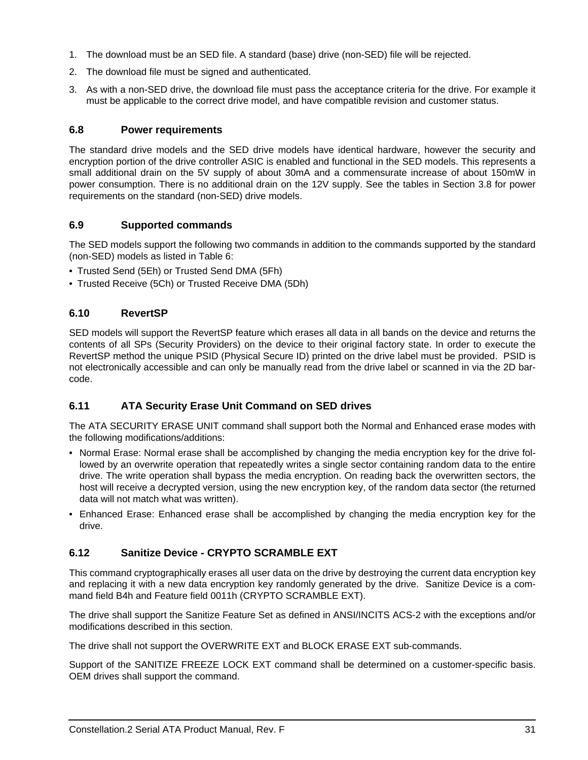- 1. The download must be an SED file. A standard (base) drive (non-SED) file will be rejected.
- 2. The download file must be signed and authenticated.
- 3. As with a non-SED drive, the download file must pass the acceptance criteria for the drive. For example it must be applicable to the correct drive model, and have compatible revision and customer status.

### <span id="page-36-0"></span>**6.8 Power requirements**

The standard drive models and the SED drive models have identical hardware, however the security and encryption portion of the drive controller ASIC is enabled and functional in the SED models. This represents a small additional drain on the 5V supply of about 30mA and a commensurate increase of about 150mW in power consumption. There is no additional drain on the 12V supply. See the tables in [Section 3.8](#page-14-1) for power requirements on the standard (non-SED) drive models.

### <span id="page-36-1"></span>**6.9 Supported commands**

The SED models support the following two commands in addition to the commands supported by the standard (non-SED) models as listed in Table [6](#page-39-1):

- <span id="page-36-15"></span><span id="page-36-14"></span><span id="page-36-13"></span><span id="page-36-12"></span>• Trusted Send (5Eh) or Trusted Send DMA (5Fh)
- Trusted Receive (5Ch) or Trusted Receive DMA (5Dh)

### <span id="page-36-9"></span><span id="page-36-2"></span>**6.10 RevertSP**

<span id="page-36-8"></span><span id="page-36-7"></span>SED models will support the RevertSP feature which erases all data in all bands on the device and returns the contents of all SPs (Security Providers) on the device to their original factory state. In order to execute the RevertSP method the unique PSID (Physical Secure ID) printed on the drive label must be provided. PSID is not electronically accessible and can only be manually read from the drive label or scanned in via the 2D barcode.

### <span id="page-36-11"></span><span id="page-36-3"></span>**6.11 ATA Security Erase Unit Command on SED drives**

The ATA SECURITY ERASE UNIT command shall support both the Normal and Enhanced erase modes with the following modifications/additions:

- <span id="page-36-6"></span>• Normal Erase: Normal erase shall be accomplished by changing the media encryption key for the drive followed by an overwrite operation that repeatedly writes a single sector containing random data to the entire drive. The write operation shall bypass the media encryption. On reading back the overwritten sectors, the host will receive a decrypted version, using the new encryption key, of the random data sector (the returned data will not match what was written).
- <span id="page-36-5"></span>• Enhanced Erase: Enhanced erase shall be accomplished by changing the media encryption key for the drive.

### <span id="page-36-10"></span><span id="page-36-4"></span>**6.12 Sanitize Device - CRYPTO SCRAMBLE EXT**

This command cryptographically erases all user data on the drive by destroying the current data encryption key and replacing it with a new data encryption key randomly generated by the drive. Sanitize Device is a command field B4h and Feature field 0011h (CRYPTO SCRAMBLE EXT).

The drive shall support the Sanitize Feature Set as defined in ANSI/INCITS ACS-2 with the exceptions and/or modifications described in this section.

The drive shall not support the OVERWRITE EXT and BLOCK ERASE EXT sub-commands.

Support of the SANITIZE FREEZE LOCK EXT command shall be determined on a customer-specific basis. OEM drives shall support the command.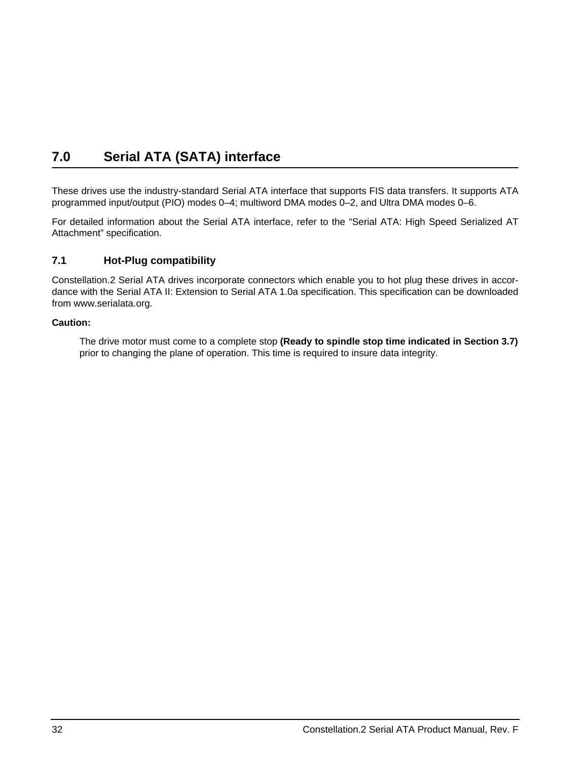# <span id="page-37-4"></span><span id="page-37-3"></span><span id="page-37-2"></span><span id="page-37-0"></span>**7.0 Serial ATA (SATA) interface**

These drives use the industry-standard Serial ATA interface that supports FIS data transfers. It supports ATA programmed input/output (PIO) modes 0–4; multiword DMA modes 0–2, and Ultra DMA modes 0–6.

For detailed information about the Serial ATA interface, refer to the "Serial ATA: High Speed Serialized AT Attachment" specification.

### <span id="page-37-1"></span>**7.1 Hot-Plug compatibility**

Constellation.2 Serial ATA drives incorporate connectors which enable you to hot plug these drives in accordance with the Serial ATA II: Extension to Serial ATA 1.0a specification. This specification can be downloaded from www.serialata.org.

### **Caution:**

The drive motor must come to a complete stop **(Ready to spindle stop time indicated in [Section 3.7](#page-14-0))**  prior to changing the plane of operation. This time is required to insure data integrity.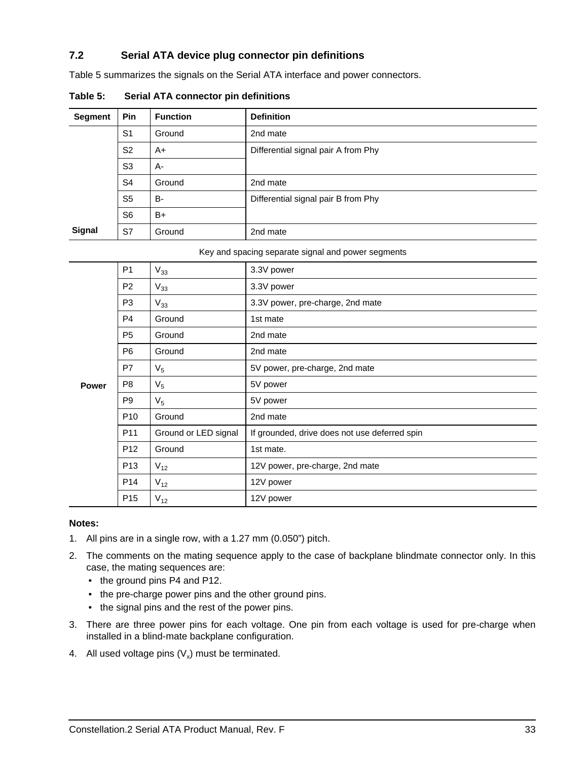### <span id="page-38-0"></span>**7.2 Serial ATA device plug connector pin definitions**

Table 5 summarizes the signals on the Serial ATA interface and power connectors.

| <b>Segment</b> | <b>Pin</b>     | <b>Function</b> | <b>Definition</b>                   |
|----------------|----------------|-----------------|-------------------------------------|
|                | S <sub>1</sub> | Ground          | 2nd mate                            |
|                | S <sub>2</sub> | A+              | Differential signal pair A from Phy |
|                | S <sub>3</sub> | A-              |                                     |
|                | S <sub>4</sub> | Ground          | 2nd mate                            |
|                | S <sub>5</sub> | B-              | Differential signal pair B from Phy |
|                | S <sub>6</sub> | $B+$            |                                     |
| Signal         | S7             | Ground          | 2nd mate                            |

**Table 5: Serial ATA connector pin definitions**

Key and spacing separate signal and power segments

|              | P <sub>1</sub>  | $V_{33}$             | 3.3V power                                    |
|--------------|-----------------|----------------------|-----------------------------------------------|
|              | P <sub>2</sub>  | $V_{33}$             | 3.3V power                                    |
|              | P <sub>3</sub>  | $V_{33}$             | 3.3V power, pre-charge, 2nd mate              |
|              | P4              | Ground               | 1st mate                                      |
|              | P <sub>5</sub>  | Ground               | 2nd mate                                      |
|              | P <sub>6</sub>  | Ground               | 2nd mate                                      |
| <b>Power</b> | P7              | $V_5$                | 5V power, pre-charge, 2nd mate                |
|              | P <sub>8</sub>  | $V_5$                | 5V power                                      |
|              | P <sub>9</sub>  | $V_5$                | 5V power                                      |
|              | P <sub>10</sub> | Ground               | 2nd mate                                      |
|              | P <sub>11</sub> | Ground or LED signal | If grounded, drive does not use deferred spin |
|              | P <sub>12</sub> | Ground               | 1st mate.                                     |
|              | P <sub>13</sub> | $V_{12}$             | 12V power, pre-charge, 2nd mate               |
|              | P <sub>14</sub> | $V_{12}$             | 12V power                                     |
|              | P <sub>15</sub> | $V_{12}$             | 12V power                                     |

### **Notes:**

- 1. All pins are in a single row, with a 1.27 mm (0.050") pitch.
- 2. The comments on the mating sequence apply to the case of backplane blindmate connector only. In this case, the mating sequences are:
	- the ground pins P4 and P12.
	- the pre-charge power pins and the other ground pins.
	- the signal pins and the rest of the power pins.
- 3. There are three power pins for each voltage. One pin from each voltage is used for pre-charge when installed in a blind-mate backplane configuration.
- 4. All used voltage pins  $(V_x)$  must be terminated.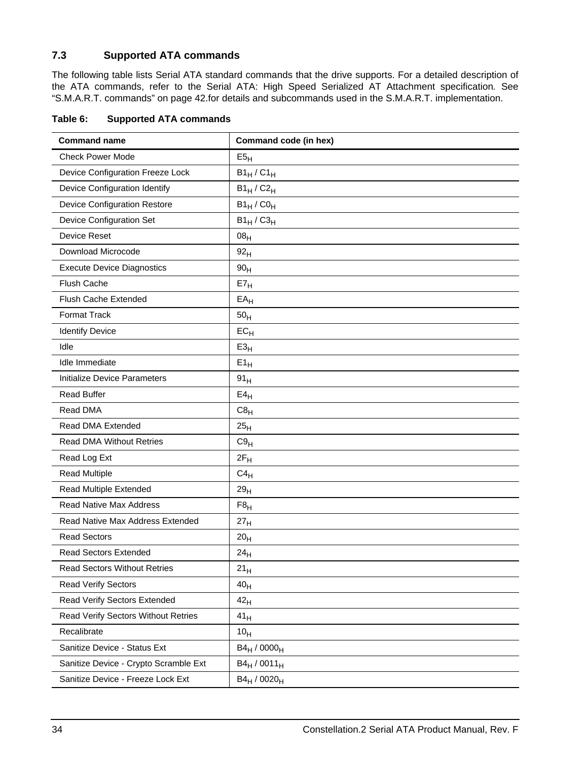### <span id="page-39-2"></span><span id="page-39-0"></span>**7.3 Supported ATA commands**

<span id="page-39-34"></span>The following table lists Serial ATA standard commands that the drive supports. For a detailed description of the ATA commands, refer to the Serial ATA: High Speed Serialized AT Attachment specification*.* [See](#page-47-0)  ["S.M.A.R.T. commands" on page 42.f](#page-47-0)or details and subcommands used in the S.M.A.R.T. implementation.

<span id="page-39-35"></span><span id="page-39-33"></span><span id="page-39-32"></span><span id="page-39-31"></span><span id="page-39-30"></span><span id="page-39-29"></span><span id="page-39-28"></span><span id="page-39-27"></span><span id="page-39-26"></span><span id="page-39-25"></span><span id="page-39-24"></span><span id="page-39-23"></span><span id="page-39-22"></span><span id="page-39-21"></span><span id="page-39-20"></span><span id="page-39-19"></span><span id="page-39-18"></span><span id="page-39-17"></span><span id="page-39-16"></span><span id="page-39-15"></span><span id="page-39-14"></span><span id="page-39-13"></span><span id="page-39-12"></span><span id="page-39-11"></span><span id="page-39-10"></span><span id="page-39-9"></span><span id="page-39-8"></span><span id="page-39-7"></span><span id="page-39-6"></span><span id="page-39-5"></span><span id="page-39-4"></span><span id="page-39-3"></span>

| <b>Command name</b>                   | Command code (in hex) |
|---------------------------------------|-----------------------|
| <b>Check Power Mode</b>               | E5 <sub>H</sub>       |
| Device Configuration Freeze Lock      | $B1_H/C1_H$           |
| Device Configuration Identify         | $B1_H/C2_H$           |
| <b>Device Configuration Restore</b>   | $B1_H$ / $C0_H$       |
| Device Configuration Set              | $B1_H / C3_H$         |
| <b>Device Reset</b>                   | 08 <sub>H</sub>       |
| Download Microcode                    | 92 <sub>H</sub>       |
| <b>Execute Device Diagnostics</b>     | 90 <sub>H</sub>       |
| Flush Cache                           | $E7_H$                |
| Flush Cache Extended                  | $EA$ H                |
| Format Track                          | 50 <sub>H</sub>       |
| <b>Identify Device</b>                | $EC_{H}$              |
| Idle                                  | E3 <sub>H</sub>       |
| Idle Immediate                        | $E1_H$                |
| Initialize Device Parameters          | 91 <sub>H</sub>       |
| <b>Read Buffer</b>                    | E4 <sub>H</sub>       |
| Read DMA                              | C8 <sub>H</sub>       |
| Read DMA Extended                     | 25 <sub>H</sub>       |
| <b>Read DMA Without Retries</b>       | C9 <sub>H</sub>       |
| Read Log Ext                          | $2F_H$                |
| <b>Read Multiple</b>                  | $C4_H$                |
| Read Multiple Extended                | 29 <sub>H</sub>       |
| <b>Read Native Max Address</b>        | F8 <sub>H</sub>       |
| Read Native Max Address Extended      | 27 <sub>H</sub>       |
| <b>Read Sectors</b>                   | 20 <sub>H</sub>       |
| <b>Read Sectors Extended</b>          | 24 <sub>H</sub>       |
| <b>Read Sectors Without Retries</b>   | 21 <sub>H</sub>       |
| <b>Read Verify Sectors</b>            | 40 <sub>H</sub>       |
| Read Verify Sectors Extended          | 42 <sub>H</sub>       |
| Read Verify Sectors Without Retries   | 41 <sub>H</sub>       |
| Recalibrate                           | 10 <sub>H</sub>       |
| Sanitize Device - Status Ext          | $B4_H / 0000_H$       |
| Sanitize Device - Crypto Scramble Ext | $B4_H / 0011_H$       |
| Sanitize Device - Freeze Lock Ext     | $B4_H / 0020_H$       |

<span id="page-39-1"></span>**Table 6: Supported ATA commands**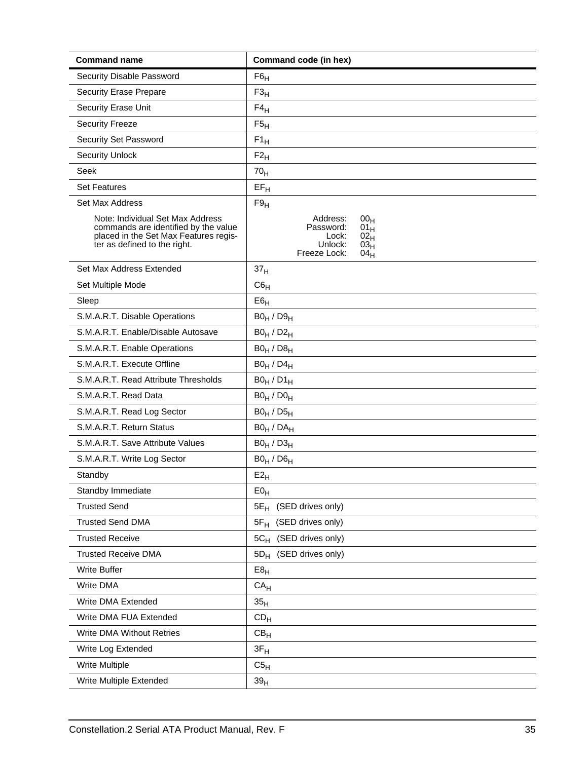<span id="page-40-35"></span><span id="page-40-34"></span><span id="page-40-33"></span><span id="page-40-32"></span><span id="page-40-31"></span><span id="page-40-30"></span><span id="page-40-29"></span><span id="page-40-28"></span><span id="page-40-27"></span><span id="page-40-26"></span><span id="page-40-25"></span><span id="page-40-24"></span><span id="page-40-23"></span><span id="page-40-22"></span><span id="page-40-21"></span><span id="page-40-20"></span><span id="page-40-19"></span><span id="page-40-18"></span><span id="page-40-17"></span><span id="page-40-16"></span><span id="page-40-15"></span><span id="page-40-14"></span><span id="page-40-13"></span><span id="page-40-12"></span><span id="page-40-11"></span><span id="page-40-10"></span><span id="page-40-9"></span><span id="page-40-8"></span><span id="page-40-7"></span><span id="page-40-6"></span><span id="page-40-5"></span><span id="page-40-4"></span><span id="page-40-3"></span><span id="page-40-2"></span><span id="page-40-1"></span><span id="page-40-0"></span>

| <b>Command name</b>                                                                                                                               | Command code (in hex)                                                                                                                  |
|---------------------------------------------------------------------------------------------------------------------------------------------------|----------------------------------------------------------------------------------------------------------------------------------------|
| Security Disable Password                                                                                                                         | $F6_H$                                                                                                                                 |
| <b>Security Erase Prepare</b>                                                                                                                     | F3 <sub>H</sub>                                                                                                                        |
| Security Erase Unit                                                                                                                               | $F4_H$                                                                                                                                 |
| <b>Security Freeze</b>                                                                                                                            | F5 <sub>H</sub>                                                                                                                        |
| Security Set Password                                                                                                                             | $F1_H$                                                                                                                                 |
| <b>Security Unlock</b>                                                                                                                            | $F2_H$                                                                                                                                 |
| Seek                                                                                                                                              | 70 <sub>H</sub>                                                                                                                        |
| <b>Set Features</b>                                                                                                                               | $EF_H$                                                                                                                                 |
| Set Max Address                                                                                                                                   | F9 <sub>H</sub>                                                                                                                        |
| Note: Individual Set Max Address<br>commands are identified by the value<br>placed in the Set Max Features regis-<br>ter as defined to the right. | Address:<br>00 <sub>H</sub><br>Password:<br>$01_H$<br>Lock:<br>02 <sub>H</sub><br>Unlock:<br>03 <sub>H</sub><br>Freeze Lock:<br>$04_H$ |
| Set Max Address Extended                                                                                                                          | 37 <sub>H</sub>                                                                                                                        |
| Set Multiple Mode                                                                                                                                 | C6 <sub>H</sub>                                                                                                                        |
| Sleep                                                                                                                                             | E6 <sub>H</sub>                                                                                                                        |
| S.M.A.R.T. Disable Operations                                                                                                                     | $B0_H / D9_H$                                                                                                                          |
| S.M.A.R.T. Enable/Disable Autosave                                                                                                                | $B0_H / D2_H$                                                                                                                          |
| S.M.A.R.T. Enable Operations                                                                                                                      | $B0_H / D8_H$                                                                                                                          |
| S.M.A.R.T. Execute Offline                                                                                                                        | $B0_H / D4_H$                                                                                                                          |
| S.M.A.R.T. Read Attribute Thresholds                                                                                                              | $B0_H / D1_H$                                                                                                                          |
| S.M.A.R.T. Read Data                                                                                                                              | $B0_H / D0_H$                                                                                                                          |
| S.M.A.R.T. Read Log Sector                                                                                                                        | $B0_H / D5_H$                                                                                                                          |
| S.M.A.R.T. Return Status                                                                                                                          | $B0_H / DA_H$                                                                                                                          |
| S.M.A.R.T. Save Attribute Values                                                                                                                  | $B0_H / D3_H$                                                                                                                          |
| S.M.A.R.T. Write Log Sector                                                                                                                       | $B0_H / D6_H$                                                                                                                          |
| Standby                                                                                                                                           | $E2_{H}$                                                                                                                               |
| Standby Immediate                                                                                                                                 | E0 <sub>H</sub>                                                                                                                        |
| <b>Trusted Send</b>                                                                                                                               | $5E_H$<br>(SED drives only)                                                                                                            |
| <b>Trusted Send DMA</b>                                                                                                                           | (SED drives only)<br>$5F_H$                                                                                                            |
| <b>Trusted Receive</b>                                                                                                                            | 5C <sub>H</sub> (SED drives only)                                                                                                      |
| <b>Trusted Receive DMA</b>                                                                                                                        | (SED drives only)<br>$5D_H$                                                                                                            |
| Write Buffer                                                                                                                                      | E8 <sub>H</sub>                                                                                                                        |
| Write DMA                                                                                                                                         | CA <sub>H</sub>                                                                                                                        |
| Write DMA Extended                                                                                                                                | 35 <sub>H</sub>                                                                                                                        |
| Write DMA FUA Extended                                                                                                                            | CD <sub>H</sub>                                                                                                                        |
| <b>Write DMA Without Retries</b>                                                                                                                  | CB <sub>H</sub>                                                                                                                        |
| Write Log Extended                                                                                                                                | $3F_H$                                                                                                                                 |
| Write Multiple                                                                                                                                    | C5 <sub>H</sub>                                                                                                                        |
| Write Multiple Extended                                                                                                                           | 39 <sub>H</sub>                                                                                                                        |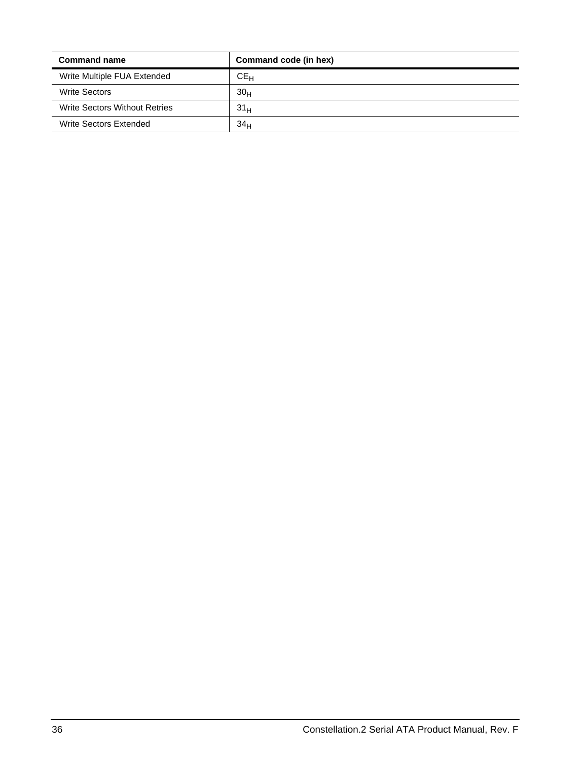<span id="page-41-3"></span><span id="page-41-2"></span><span id="page-41-1"></span><span id="page-41-0"></span>

| <b>Command name</b>           | Command code (in hex) |
|-------------------------------|-----------------------|
| Write Multiple FUA Extended   | $CE_{H}$              |
| <b>Write Sectors</b>          | 30 <sub>H</sub>       |
| Write Sectors Without Retries | 31 <sub>H</sub>       |
| Write Sectors Extended        | 34 <sub>H</sub>       |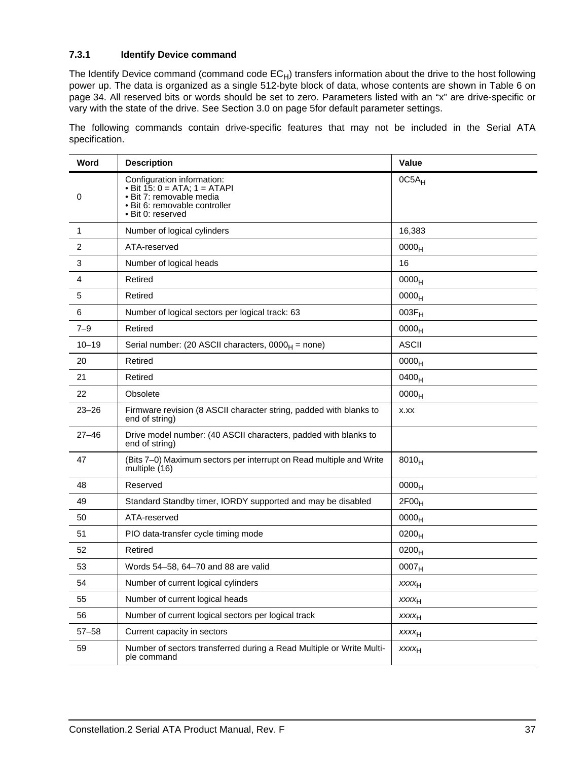### <span id="page-42-1"></span><span id="page-42-0"></span>**7.3.1 Identify Device command**

The Identify Device command (command code  $EC_H$ ) transfers information about the drive to the host following power up. The data is organized as a single 512-byte block of data, whose contents are shown in [Table 6](#page-39-1) on [page 34](#page-39-1). All reserved bits or words should be set to zero. Parameters listed with an "x" are drive-specific or vary with the state of the drive. [See Section 3.0 on page 5](#page-10-0)for default parameter settings.

The following commands contain drive-specific features that may not be included in the Serial ATA specification.

| Word      | <b>Description</b>                                                                                                                                | Value             |
|-----------|---------------------------------------------------------------------------------------------------------------------------------------------------|-------------------|
| 0         | Configuration information:<br>• Bit $15: 0 = ATA$ ; $1 = ATAPI$<br>· Bit 7: removable media<br>· Bit 6: removable controller<br>• Bit 0: reserved | $0C5A_H$          |
| 1         | Number of logical cylinders                                                                                                                       | 16,383            |
| 2         | ATA-reserved                                                                                                                                      | 0000 <sub>H</sub> |
| 3         | Number of logical heads                                                                                                                           | 16                |
| 4         | Retired                                                                                                                                           | 0000 <sub>H</sub> |
| 5         | Retired                                                                                                                                           | 0000 <sub>H</sub> |
| 6         | Number of logical sectors per logical track: 63                                                                                                   | $003F_H$          |
| $7 - 9$   | Retired                                                                                                                                           | 0000 <sub>H</sub> |
| $10 - 19$ | Serial number: (20 ASCII characters, $0000_H$ = none)                                                                                             | <b>ASCII</b>      |
| 20        | Retired                                                                                                                                           | 0000 <sub>H</sub> |
| 21        | Retired                                                                                                                                           | 0400 <sub>H</sub> |
| 22        | Obsolete                                                                                                                                          | 0000 <sub>H</sub> |
| $23 - 26$ | Firmware revision (8 ASCII character string, padded with blanks to<br>end of string)                                                              | X.XX              |
| $27 - 46$ | Drive model number: (40 ASCII characters, padded with blanks to<br>end of string)                                                                 |                   |
| 47        | (Bits 7–0) Maximum sectors per interrupt on Read multiple and Write<br>multiple (16)                                                              | $8010_H$          |
| 48        | Reserved                                                                                                                                          | 0000 <sub>H</sub> |
| 49        | Standard Standby timer, IORDY supported and may be disabled                                                                                       | 2F00 <sub>H</sub> |
| 50        | ATA-reserved                                                                                                                                      | 0000 <sub>H</sub> |
| 51        | PIO data-transfer cycle timing mode                                                                                                               | $0200_H$          |
| 52        | Retired                                                                                                                                           | 0200 <sub>H</sub> |
| 53        | Words 54-58, 64-70 and 88 are valid                                                                                                               | 0007 <sub>H</sub> |
| 54        | Number of current logical cylinders                                                                                                               | $xxxx_{H}$        |
| 55        | Number of current logical heads                                                                                                                   | $xxxx_{H}$        |
| 56        | Number of current logical sectors per logical track                                                                                               | <b>XXXXH</b>      |
| $57 - 58$ | Current capacity in sectors                                                                                                                       | $xxxx_{H}$        |
| 59        | Number of sectors transferred during a Read Multiple or Write Multi-<br>ple command                                                               | $xxxx_{H}$        |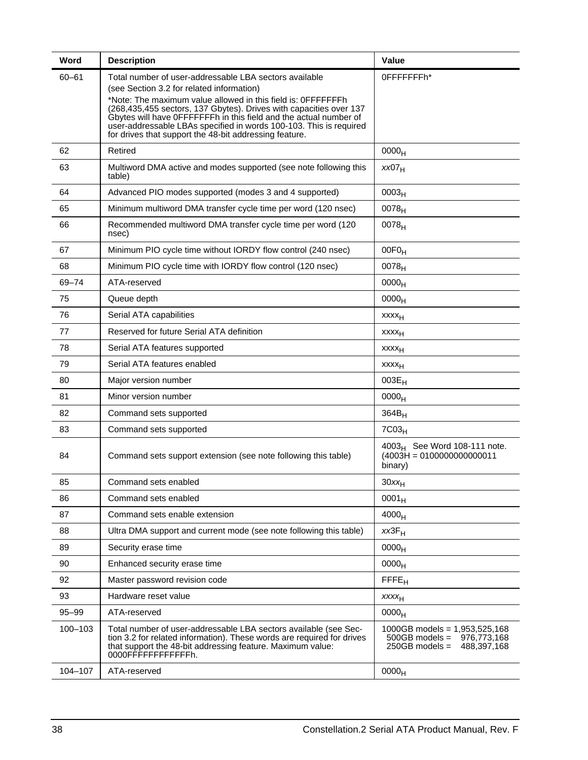| Word      | <b>Description</b>                                                                                                                                                                                                                                                                                                                                                                                                                             | Value                                                                                                 |
|-----------|------------------------------------------------------------------------------------------------------------------------------------------------------------------------------------------------------------------------------------------------------------------------------------------------------------------------------------------------------------------------------------------------------------------------------------------------|-------------------------------------------------------------------------------------------------------|
| $60 - 61$ | Total number of user-addressable LBA sectors available<br>(see Section 3.2 for related information)<br>*Note: The maximum value allowed in this field is: OFFFFFFFh<br>(268,435,455 sectors, 137 Gbytes). Drives with capacities over 137<br>Gbytes will have OFFFFFFFh in this field and the actual number of<br>user-addressable LBAs specified in words 100-103. This is required<br>for drives that support the 48-bit addressing feature. | 0FFFFFFFh*                                                                                            |
| 62        | Retired                                                                                                                                                                                                                                                                                                                                                                                                                                        | 0000 <sub>H</sub>                                                                                     |
| 63        | Multiword DMA active and modes supported (see note following this<br>table)                                                                                                                                                                                                                                                                                                                                                                    | XX07 <sub>H</sub>                                                                                     |
| 64        | Advanced PIO modes supported (modes 3 and 4 supported)                                                                                                                                                                                                                                                                                                                                                                                         | 0003 <sub>H</sub>                                                                                     |
| 65        | Minimum multiword DMA transfer cycle time per word (120 nsec)                                                                                                                                                                                                                                                                                                                                                                                  | $0078_H$                                                                                              |
| 66        | Recommended multiword DMA transfer cycle time per word (120<br>nsec)                                                                                                                                                                                                                                                                                                                                                                           | 0078 <sub>H</sub>                                                                                     |
| 67        | Minimum PIO cycle time without IORDY flow control (240 nsec)                                                                                                                                                                                                                                                                                                                                                                                   | $00F0_H$                                                                                              |
| 68        | Minimum PIO cycle time with IORDY flow control (120 nsec)                                                                                                                                                                                                                                                                                                                                                                                      | 0078 <sub>H</sub>                                                                                     |
| 69-74     | ATA-reserved                                                                                                                                                                                                                                                                                                                                                                                                                                   | 0000 <sub>H</sub>                                                                                     |
| 75        | Queue depth                                                                                                                                                                                                                                                                                                                                                                                                                                    | 0000 <sub>H</sub>                                                                                     |
| 76        | Serial ATA capabilities                                                                                                                                                                                                                                                                                                                                                                                                                        | xxxx <sub>H</sub>                                                                                     |
| 77        | Reserved for future Serial ATA definition                                                                                                                                                                                                                                                                                                                                                                                                      | <b>XXXX<sub>H</sub></b>                                                                               |
| 78        | Serial ATA features supported                                                                                                                                                                                                                                                                                                                                                                                                                  | <b>XXXX<sub>H</sub></b>                                                                               |
| 79        | Serial ATA features enabled                                                                                                                                                                                                                                                                                                                                                                                                                    | xxxx <sub>H</sub>                                                                                     |
| 80        | Major version number                                                                                                                                                                                                                                                                                                                                                                                                                           | $003E_H$                                                                                              |
| 81        | Minor version number                                                                                                                                                                                                                                                                                                                                                                                                                           | 0000 <sub>H</sub>                                                                                     |
| 82        | Command sets supported                                                                                                                                                                                                                                                                                                                                                                                                                         | $364B_H$                                                                                              |
| 83        | Command sets supported                                                                                                                                                                                                                                                                                                                                                                                                                         | 7C03 <sub>H</sub>                                                                                     |
| 84        | Command sets support extension (see note following this table)                                                                                                                                                                                                                                                                                                                                                                                 | 4003 <sub>H</sub> See Word 108-111 note.<br>$(4003H = 0100000000000011$<br>binary)                    |
| 85        | Command sets enabled                                                                                                                                                                                                                                                                                                                                                                                                                           | $30xx_H$                                                                                              |
| 86        | Command sets enabled                                                                                                                                                                                                                                                                                                                                                                                                                           | $0001_H$                                                                                              |
| 87        | Command sets enable extension                                                                                                                                                                                                                                                                                                                                                                                                                  | 4000 <sub>H</sub>                                                                                     |
| 88        | Ultra DMA support and current mode (see note following this table)                                                                                                                                                                                                                                                                                                                                                                             | $xx3F_H$                                                                                              |
| 89        | Security erase time                                                                                                                                                                                                                                                                                                                                                                                                                            | 0000 <sub>H</sub>                                                                                     |
| 90        | Enhanced security erase time                                                                                                                                                                                                                                                                                                                                                                                                                   | 0000 <sub>H</sub>                                                                                     |
| 92        | Master password revision code                                                                                                                                                                                                                                                                                                                                                                                                                  | FFE <sub>H</sub>                                                                                      |
| 93        | Hardware reset value                                                                                                                                                                                                                                                                                                                                                                                                                           | <b>XXXXH</b>                                                                                          |
| $95 - 99$ | ATA-reserved                                                                                                                                                                                                                                                                                                                                                                                                                                   | 0000 <sub>H</sub>                                                                                     |
| 100-103   | Total number of user-addressable LBA sectors available (see Sec-<br>tion 3.2 for related information). These words are required for drives<br>that support the 48-bit addressing feature. Maximum value:<br>0000FFFFFFFFFFFFh.                                                                                                                                                                                                                 | 1000GB models = $1,953,525,168$<br>$500GB$ models =<br>976,773,168<br>$250GB$ models =<br>488,397,168 |
| 104-107   | ATA-reserved                                                                                                                                                                                                                                                                                                                                                                                                                                   | 0000 <sub>H</sub>                                                                                     |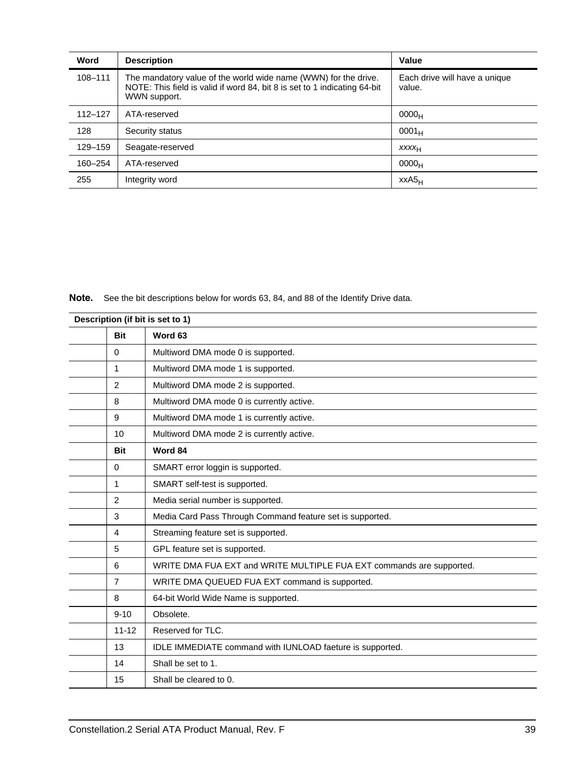| Word        | <b>Description</b>                                                                                                                                           | Value                                   |
|-------------|--------------------------------------------------------------------------------------------------------------------------------------------------------------|-----------------------------------------|
| 108-111     | The mandatory value of the world wide name (WWN) for the drive.<br>NOTE: This field is valid if word 84, bit 8 is set to 1 indicating 64-bit<br>WWN support. | Each drive will have a unique<br>value. |
| $112 - 127$ | ATA-reserved                                                                                                                                                 | 0000 <sub>H</sub>                       |
| 128         | Security status                                                                                                                                              | $0001_H$                                |
| 129-159     | Seagate-reserved                                                                                                                                             | <b>XXXXH</b>                            |
| 160-254     | ATA-reserved                                                                                                                                                 | 0000 <sub>H</sub>                       |
| 255         | Integrity word                                                                                                                                               | $XXAS_H$                                |

**Note.** See the bit descriptions below for words 63, 84, and 88 of the Identify Drive data.

| Description (if bit is set to 1) |                                                                      |  |  |  |
|----------------------------------|----------------------------------------------------------------------|--|--|--|
| <b>Bit</b>                       | Word 63                                                              |  |  |  |
| $\Omega$                         | Multiword DMA mode 0 is supported.                                   |  |  |  |
| 1                                | Multiword DMA mode 1 is supported.                                   |  |  |  |
| 2                                | Multiword DMA mode 2 is supported.                                   |  |  |  |
| 8                                | Multiword DMA mode 0 is currently active.                            |  |  |  |
| 9                                | Multiword DMA mode 1 is currently active.                            |  |  |  |
| 10                               | Multiword DMA mode 2 is currently active.                            |  |  |  |
| <b>Bit</b>                       | Word 84                                                              |  |  |  |
| $\Omega$                         | SMART error loggin is supported.                                     |  |  |  |
| $\mathbf{1}$                     | SMART self-test is supported.                                        |  |  |  |
| 2                                | Media serial number is supported.                                    |  |  |  |
| 3                                | Media Card Pass Through Command feature set is supported.            |  |  |  |
| $\overline{4}$                   | Streaming feature set is supported.                                  |  |  |  |
| 5                                | GPL feature set is supported.                                        |  |  |  |
| 6                                | WRITE DMA FUA EXT and WRITE MULTIPLE FUA EXT commands are supported. |  |  |  |
| $\overline{7}$                   | WRITE DMA QUEUED FUA EXT command is supported.                       |  |  |  |
| 8                                | 64-bit World Wide Name is supported.                                 |  |  |  |
| $9 - 10$                         | Obsolete.                                                            |  |  |  |
| $11 - 12$                        | Reserved for TLC.                                                    |  |  |  |
| 13                               | IDLE IMMEDIATE command with IUNLOAD faeture is supported.            |  |  |  |
| 14                               | Shall be set to 1.                                                   |  |  |  |
| 15                               | Shall be cleared to 0.                                               |  |  |  |
|                                  |                                                                      |  |  |  |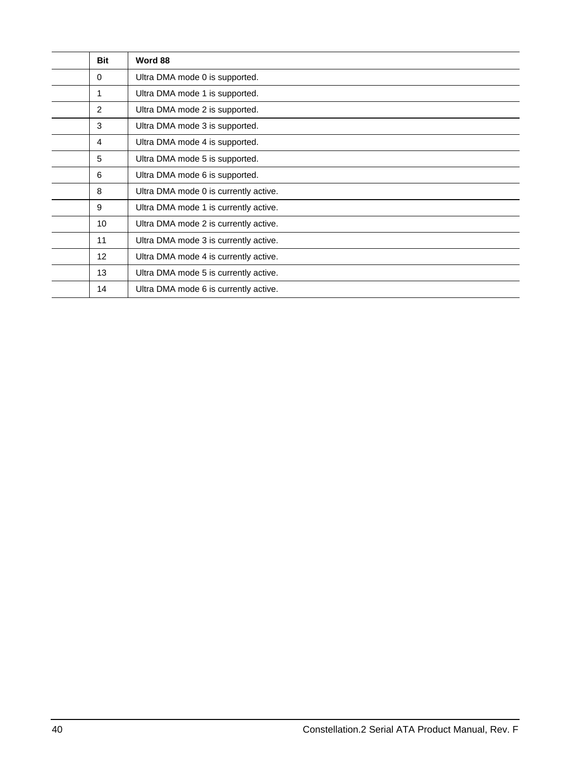| <b>Bit</b> | Word 88                               |
|------------|---------------------------------------|
| $\Omega$   | Ultra DMA mode 0 is supported.        |
| 1          | Ultra DMA mode 1 is supported.        |
| 2          | Ultra DMA mode 2 is supported.        |
| 3          | Ultra DMA mode 3 is supported.        |
| 4          | Ultra DMA mode 4 is supported.        |
| 5          | Ultra DMA mode 5 is supported.        |
| 6          | Ultra DMA mode 6 is supported.        |
| 8          | Ultra DMA mode 0 is currently active. |
| 9          | Ultra DMA mode 1 is currently active. |
| 10         | Ultra DMA mode 2 is currently active. |
| 11         | Ultra DMA mode 3 is currently active. |
| 12         | Ultra DMA mode 4 is currently active. |
| 13         | Ultra DMA mode 5 is currently active. |
| 14         | Ultra DMA mode 6 is currently active. |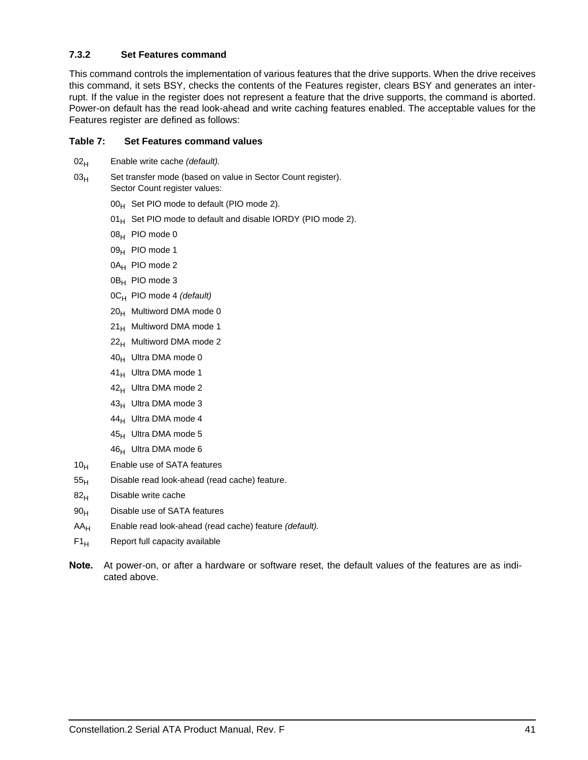### <span id="page-46-0"></span>**7.3.2 Set Features command**

This command controls the implementation of various features that the drive supports. When the drive receives this command, it sets BSY, checks the contents of the Features register, clears BSY and generates an interrupt. If the value in the register does not represent a feature that the drive supports, the command is aborted. Power-on default has the read look-ahead and write caching features enabled. The acceptable values for the Features register are defined as follows:

### **Table 7: Set Features command values**

- 02<sub>H</sub> Enable write cache *(default)*.
- 03<sub>H</sub> Set transfer mode (based on value in Sector Count register). Sector Count register values:
	- $00_H$  Set PIO mode to default (PIO mode 2).
	- $01_H$  Set PIO mode to default and disable IORDY (PIO mode 2).
	- $08_H$  PIO mode 0
	- 09<sub>H</sub> PIO mode 1
	- 0A<sub>H</sub> PIO mode 2
	- 0B<sub>H</sub> PIO mode 3
	- 0CH PIO mode 4 *(default)*
	- $20<sub>H</sub>$  Multiword DMA mode 0
	- $21_H$  Multiword DMA mode 1
	- $22<sub>H</sub>$  Multiword DMA mode 2
	- $40_H$  Ultra DMA mode 0
	- $41_H$  Ultra DMA mode 1
	- $42_H$  Ultra DMA mode 2
	- $43_H$  Ultra DMA mode 3
	- $44_H$  Ultra DMA mode 4
	- $45_H$  Ultra DMA mode 5
	- $46_H$  Ultra DMA mode 6
- $10_H$  Enable use of SATA features
- $55<sub>H</sub>$  Disable read look-ahead (read cache) feature.
- $82<sub>H</sub>$  Disable write cache
- 90<sub>H</sub> Disable use of SATA features
- AAH Enable read look-ahead (read cache) feature *(default).*
- $F1_H$  Report full capacity available
- **Note.** At power-on, or after a hardware or software reset, the default values of the features are as indicated above.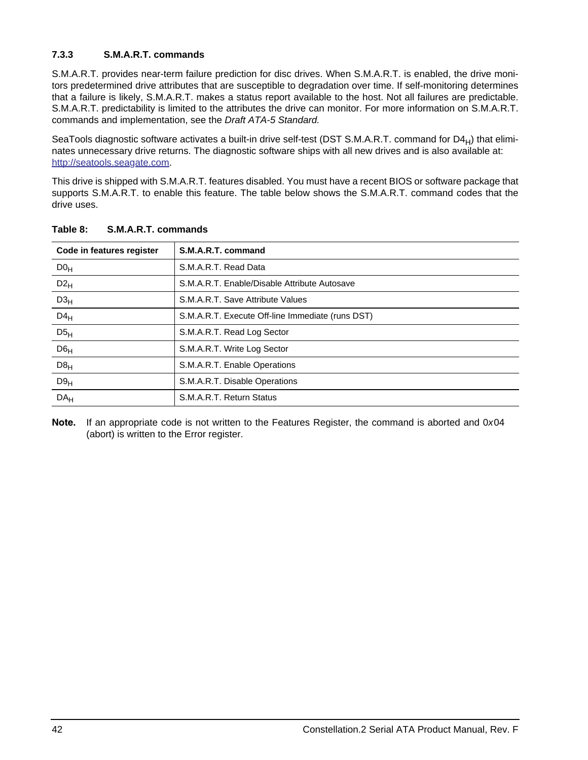### <span id="page-47-0"></span>**7.3.3 S.M.A.R.T. commands**

S.M.A.R.T. provides near-term failure prediction for disc drives. When S.M.A.R.T. is enabled, the drive monitors predetermined drive attributes that are susceptible to degradation over time. If self-monitoring determines that a failure is likely, S.M.A.R.T. makes a status report available to the host. Not all failures are predictable. S.M.A.R.T. predictability is limited to the attributes the drive can monitor. For more information on S.M.A.R.T. commands and implementation, see the *Draft ATA-5 Standard.*

SeaTools diagnostic software activates a built-in drive self-test (DST S.M.A.R.T. command for  $D4_H$ ) that eliminates unnecessary drive returns. The diagnostic software ships with all new drives and is also available at: [http://seatools.sea](http://seatools.seagate.com)gate.com.

This drive is shipped with S.M.A.R.T. features disabled. You must have a recent BIOS or software package that supports S.M.A.R.T. to enable this feature. The table below shows the S.M.A.R.T. command codes that the drive uses.

| Code in features register | S.M.A.R.T. command                               |
|---------------------------|--------------------------------------------------|
| DO <sub>H</sub>           | S.M.A.R.T. Read Data                             |
| $D2_H$                    | S.M.A.R.T. Enable/Disable Attribute Autosave     |
| D3 <sub>H</sub>           | S.M.A.R.T. Save Attribute Values                 |
| $D4_H$                    | S.M.A.R.T. Execute Off-line Immediate (runs DST) |
| D5 <sub>H</sub>           | S.M.A.R.T. Read Log Sector                       |
| $D6_H$                    | S.M.A.R.T. Write Log Sector                      |
| D8 <sub>H</sub>           | S.M.A.R.T. Enable Operations                     |
| D9 <sub>H</sub>           | S.M.A.R.T. Disable Operations                    |
| DA <sub>H</sub>           | S.M.A.R.T. Return Status                         |

**Table 8: S.M.A.R.T. commands**

**Note.** If an appropriate code is not written to the Features Register, the command is aborted and 0*x*04 (abort) is written to the Error register.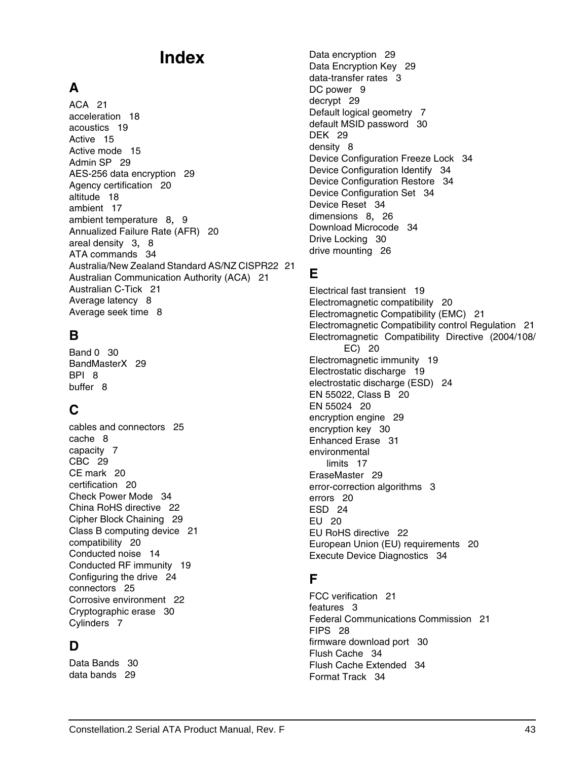# **Index**

# **A**

ACA [21](#page-26-2) acceleration [18](#page-23-3) acoustics [19](#page-24-2) Active [15](#page-20-1) Active mode [15](#page-20-2) Admin SP [29](#page-34-5) AES-256 data encryption [29](#page-34-6) Agency certification [20](#page-25-5) altitude [18](#page-23-4) ambient [17](#page-22-4) ambient temperature [8](#page-13-3), [9](#page-14-3) Annualized Failure Rate (AFR) [20](#page-25-6) areal density [3](#page-8-0), [8](#page-13-4) ATA commands [34](#page-39-2) Australia/New Zealand Standard AS/NZ CISPR22 [21](#page-26-3) Australian Communication Authority (ACA) [21](#page-26-4) Australian C-Tick [21](#page-26-5) Average latency [8](#page-13-5) Average seek time [8](#page-13-6)

# **B**

Band 0 [30](#page-35-6) BandMasterX [29](#page-34-7) BPI [8](#page-13-7) buffer [8](#page-13-8)

# **C**

cables [and](#page-13-9) [connectors](#page-13-9) [25](#page-30-4) cache 8 capacity [7](#page-12-3) CBC [29](#page-34-8) CE mark [20](#page-25-7) certification [20](#page-25-8) Check Power Mode [34](#page-39-3) China RoHS directive [22](#page-27-3) Cipher Block Chaining [29](#page-34-9) Class B computing device [21](#page-26-6) compatibility [20](#page-25-9) Conducted noise [14](#page-19-3) Conducted RF immunity [19](#page-24-3) Configuring the drive [24](#page-29-2) connectors [25](#page-30-5) Corrosive environment [22](#page-27-4) Cryptographic erase [30](#page-35-7) Cylinders [7](#page-12-4)

# **D**

Data Bands [30](#page-35-8) data bands [29](#page-34-10)

Data encryption [29](#page-34-11) Data Encryption Key [29](#page-34-12) data-transfer rates [3](#page-8-1) DC power [9](#page-14-4) decrypt [29](#page-34-13) Default logical geometry [7](#page-12-5) default MSID password [30](#page-35-9) DEK [29](#page-34-14) density [8](#page-13-10) Device Configuration Freeze Lock [34](#page-39-4) Device Configuration Identify [34](#page-39-5) Device Configuration Restore [34](#page-39-6) Device Configuration Set [34](#page-39-7) Device Reset [34](#page-39-8) dimensions [8](#page-13-11), [26](#page-31-2) Download Microcode [34](#page-39-9) Drive Locking [30](#page-35-10) drive mounting [26](#page-31-3)

# **E**

Electrical fast transient [19](#page-24-4) Electromagnetic compatibility [20](#page-25-10) Electromagnetic Compatibility (EMC) [21](#page-26-7) Electromagnetic Compatibility control Regulation [21](#page-26-8) Electromag[netic](#page-25-11) [Compatibility](#page-25-11) [Directive](#page-25-11) [\(2004/108/](#page-25-11) EC) 20 Electromagnetic immunity [19](#page-24-5) Electrostatic discharge [19](#page-24-6) electrostatic discharge (ESD) [24](#page-29-3) EN 55022, Class B [20](#page-25-12) EN 55024 [20](#page-25-13) encryption engine [29](#page-34-15) encryption key [30](#page-35-11) Enhanced Erase [31](#page-36-5) environmental limits [17](#page-22-5) EraseMaster [29](#page-34-16) error-correction algorithms [3](#page-8-2) errors [20](#page-25-14) ESD [24](#page-29-4) EU [20](#page-25-15) EU RoHS directive [22](#page-27-5) European Union (EU) requirements [20](#page-25-16) Execute Device Diagnostics [34](#page-39-10)

# **F**

FCC verification [21](#page-26-9) features [3](#page-8-3) Fede[ral](#page-33-2) [Communications](#page-33-2) [Commission](#page-33-2) [21](#page-26-10) FIPS 28 firmware download port [30](#page-35-12) Flush Cache [34](#page-39-11) Flush Cache Extended [34](#page-39-12) Format Track [34](#page-39-13)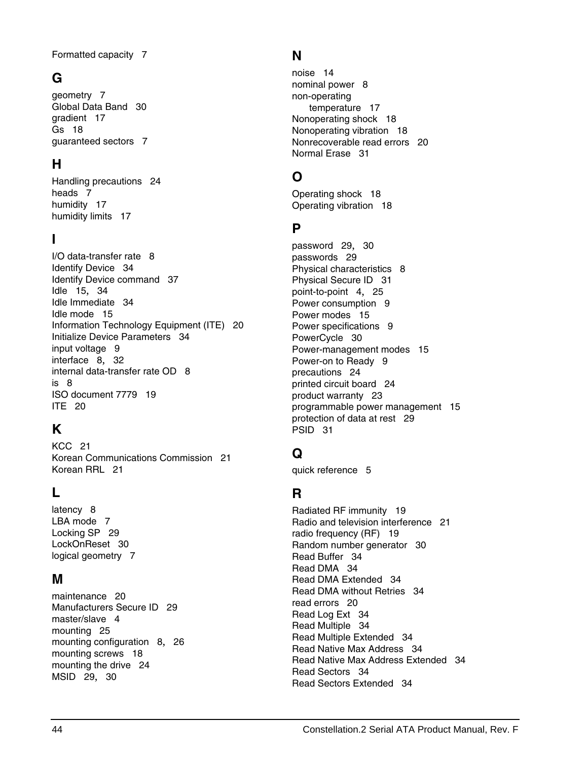Formatted capacity [7](#page-12-6)

# **G**

geometry [7](#page-12-7) Global Data Band [30](#page-35-13) gradient [17](#page-22-6) Gs [18](#page-23-5) guaranteed sectors [7](#page-12-8)

# **H**

Handli[ng](#page-12-9) [precautions](#page-12-9) [24](#page-29-5) heads 7 humidity [17](#page-22-7) humidity limits [17](#page-22-8)

# **I**

I/O data-transfer rate [8](#page-13-12) Identify Device [34](#page-39-14) Identify Device command [37](#page-42-1) Idle [15](#page-20-3), [34](#page-39-15) Idle Immediate [34](#page-39-16) Idle mode [15](#page-20-4) Information Technology Equipment (ITE) [20](#page-25-17) Initialize Devi[ce](#page-14-5) [Parameters](#page-14-5) [34](#page-39-17) input voltage 9 interface [8](#page-13-13), [32](#page-37-2) in[ternal](#page-13-15) [data-transfer](#page-13-15) [rate](#page-13-15) [OD](#page-13-15) [8](#page-13-14) is 8 ISO document 7779 [19](#page-24-7) ITE [20](#page-25-18)

# **K**

KCC [21](#page-26-11) Korean Communications Commission [21](#page-26-12) Korean RRL [21](#page-26-13)

# **L**

latency [8](#page-13-16) LBA mode [7](#page-12-10) Locking SP [29](#page-34-17) LockOnReset [30](#page-35-14) logical geometry [7](#page-12-11)

### **M**

maintenance [20](#page-25-19) Manufacturers Secure ID [29](#page-34-18) master/slave [4](#page-9-1) mounting [25](#page-30-6) mounting configuration [8](#page-13-17), [26](#page-31-4) mounting screws [18](#page-23-6) mounting the drive [24](#page-29-6) MSID [29](#page-34-19), [30](#page-35-15)

# **N**

noise [14](#page-19-4) nominal power [8](#page-13-18) non-operating temperature [17](#page-22-9) Nonoperating shock [18](#page-23-7) Nonoperating vibration [18](#page-23-8) Nonrecoverable read errors [20](#page-25-20) Normal Erase [31](#page-36-6)

# **O**

Operating shock [18](#page-23-9) Operating vibration [18](#page-23-10)

# **P**

password [29](#page-34-20), [30](#page-35-16) passwords [29](#page-34-21) Physical characteristics [8](#page-13-19) Physical Secure ID [31](#page-36-7) point-to-point [4](#page-9-2), [25](#page-30-7) Power consumption [9](#page-14-6) Power modes [15](#page-20-5) Power specifications [9](#page-14-7) PowerCycle [30](#page-35-17) Power-management modes [15](#page-20-6) Power-on to Ready [9](#page-14-8) precautions [24](#page-29-7) printed circuit board [24](#page-29-8) product warranty [23](#page-28-2) programmable power management [15](#page-20-7) protection of data at rest [29](#page-34-22) PSID [31](#page-36-8)

# **Q**

quick reference [5](#page-10-2)

# **R**

Radiated RF immunity [19](#page-24-8) Radio and television interference [21](#page-26-14) radio frequency (RF) [19](#page-24-9) Random number generator [30](#page-35-18) Read Buffer [34](#page-39-18) Read DMA [34](#page-39-19) Read DMA Extended [34](#page-39-20) Read DMA without Retries [34](#page-39-21) read errors [20](#page-25-21) Read Log Ext [34](#page-39-22) Read Multiple [34](#page-39-23) Read Multiple Extended [34](#page-39-24) Read Native Max Address [34](#page-39-25) Read Native Max Address Extended [34](#page-39-26) Read Sectors [34](#page-39-27) Read Sectors Extended [34](#page-39-28)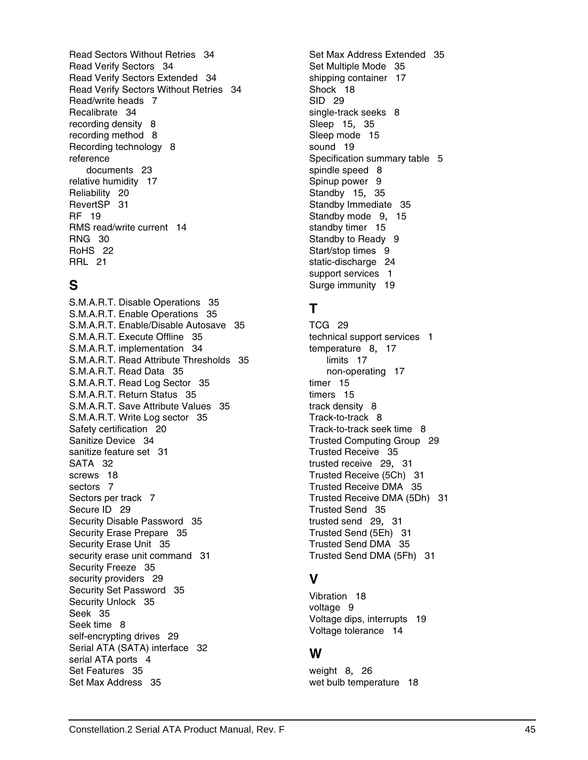Read Sectors Without Retries [34](#page-39-29) Read Verify Sectors [34](#page-39-30) Read Verify Sectors Extended [34](#page-39-31) Read Verify Secto[rs](#page-12-12) [Without](#page-12-12) [Retries](#page-12-12) [34](#page-39-32) Read/write heads 7 Recalibrate [34](#page-39-33) recording density [8](#page-13-20) recording method [8](#page-13-21) Recording technology [8](#page-13-22) reference documents [23](#page-28-3) relative humidity [17](#page-22-7) Reliability [20](#page-25-22) RevertSP [31](#page-36-9) RF [19](#page-24-10) RMS read/write current [14](#page-19-5) RNG [30](#page-35-19) RoHS [22](#page-27-6) RRL [21](#page-26-15)

# **S**

S.M.A.R.T. Disable Operations [35](#page-40-0) S.M.A.R.T. Enable Operations [35](#page-40-1) S.M.A.R.T. Enable/Disable Autosave [35](#page-40-2) S.M.A.R.T. Execute Offline [35](#page-40-3) S.M.A.R.T. implementation [34](#page-39-34) S.M.A.R.T. Read Attribute Thresholds [35](#page-40-4) S.M.A.R.T. Read Data [35](#page-40-5) S.M.A.R.T. Read Log Sector [35](#page-40-6) S.M.A.R.T. Return Status [35](#page-40-7) S.M.A.R.T. Save Attribute Values [35](#page-40-8) S.M.A.R.T. Write Log sector [35](#page-40-9) Safety certification [20](#page-25-23) Sanitize Device [34](#page-39-35) sanitize feature set [31](#page-36-10) SATA [32](#page-37-3) screws [18](#page-23-11) sectors [7](#page-12-13) Sectors per track [7](#page-12-14) Secure ID [29](#page-34-23) Security Disable Password [35](#page-40-10) Security Erase Prepare [35](#page-40-11) Security Erase Unit [35](#page-40-12) security erase unit command [31](#page-36-11) Security Freeze [35](#page-40-13) security providers [29](#page-34-24) Security Set Password [35](#page-40-14) Security Unlock [35](#page-40-15) Seek [35](#page-40-16) Seek time [8](#page-13-23) self-encrypting drives [29](#page-34-25) Serial ATA (SATA) interface [32](#page-37-4) serial ATA ports [4](#page-9-3) Set Features [35](#page-40-17) Set Max Address [35](#page-40-18)

Set Max Address Extended [35](#page-40-19) Set Multiple Mode [35](#page-40-20) shipping container [17](#page-22-10) Shock [18](#page-23-12) SID [29](#page-34-26) single-track seeks [8](#page-13-24) Sleep [15](#page-20-8), [35](#page-40-21) Sleep mode [15](#page-20-9) sound [19](#page-24-11) Specification summary table [5](#page-10-3) spindle speed [8](#page-13-25) Spinup power [9](#page-14-9) Standby [15](#page-20-10), [35](#page-40-22) Standby Immediate [35](#page-40-23) Standby mode [9](#page-14-10), [15](#page-20-11) standby timer [15](#page-20-12) Standby to Ready [9](#page-14-11) Start/stop times [9](#page-14-12) static-discharge [24](#page-29-9) support services [1](#page-6-1) Surge immunity [19](#page-24-12)

# **T**

TCG [29](#page-34-27) technical support services [1](#page-6-1) temperature [8](#page-13-26), [17](#page-22-11) limits [17](#page-22-12) non-operating [17](#page-22-9) timer [15](#page-20-13) timers [15](#page-20-14) track density [8](#page-13-27) Track-to-track [8](#page-13-28) Track-to-track seek time [8](#page-13-29) Trusted Computing Group [29](#page-34-28) Trusted Receive [35](#page-40-24) trusted receive [29](#page-34-29), [31](#page-36-12) Trusted Receive (5Ch) [31](#page-36-12) Trusted Receive DMA [35](#page-40-25) Trusted Receive DMA (5Dh) [31](#page-36-13) Trusted Send [35](#page-40-26) trusted send [29](#page-34-30), [31](#page-36-14) Trusted Send (5Eh) [31](#page-36-14) Trusted Send DMA [35](#page-40-27) Trusted Send DMA (5Fh) [31](#page-36-15)

# **V**

Vibration [18](#page-23-13) voltage [9](#page-14-13) Voltage dips, interrupts [19](#page-24-13) Voltage tolerance [14](#page-19-6)

# **W**

weight [8](#page-13-30), [26](#page-31-5) wet bulb temperature [18](#page-23-4)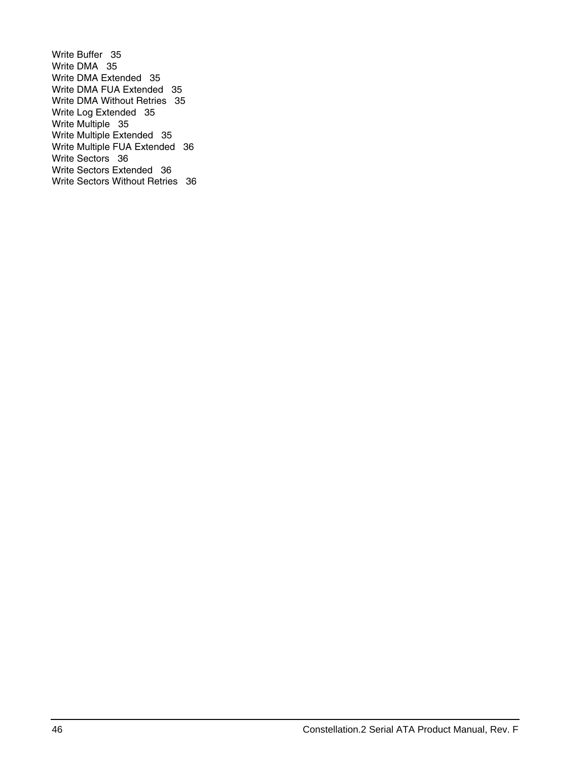Write Buffer [35](#page-40-28) Write DMA [35](#page-40-29) Write DMA Extended [35](#page-40-30) Write DMA FUA Extended [35](#page-40-31) Write DMA Without Retries [35](#page-40-32) Write Log Extended [35](#page-40-33) Write Multiple [35](#page-40-34) Write Multiple Extended [35](#page-40-35) Write Multiple FUA Extended [36](#page-41-0) Write Sectors [36](#page-41-1) Write Sectors Extended [36](#page-41-2) Write Sectors Without Retries [36](#page-41-3)